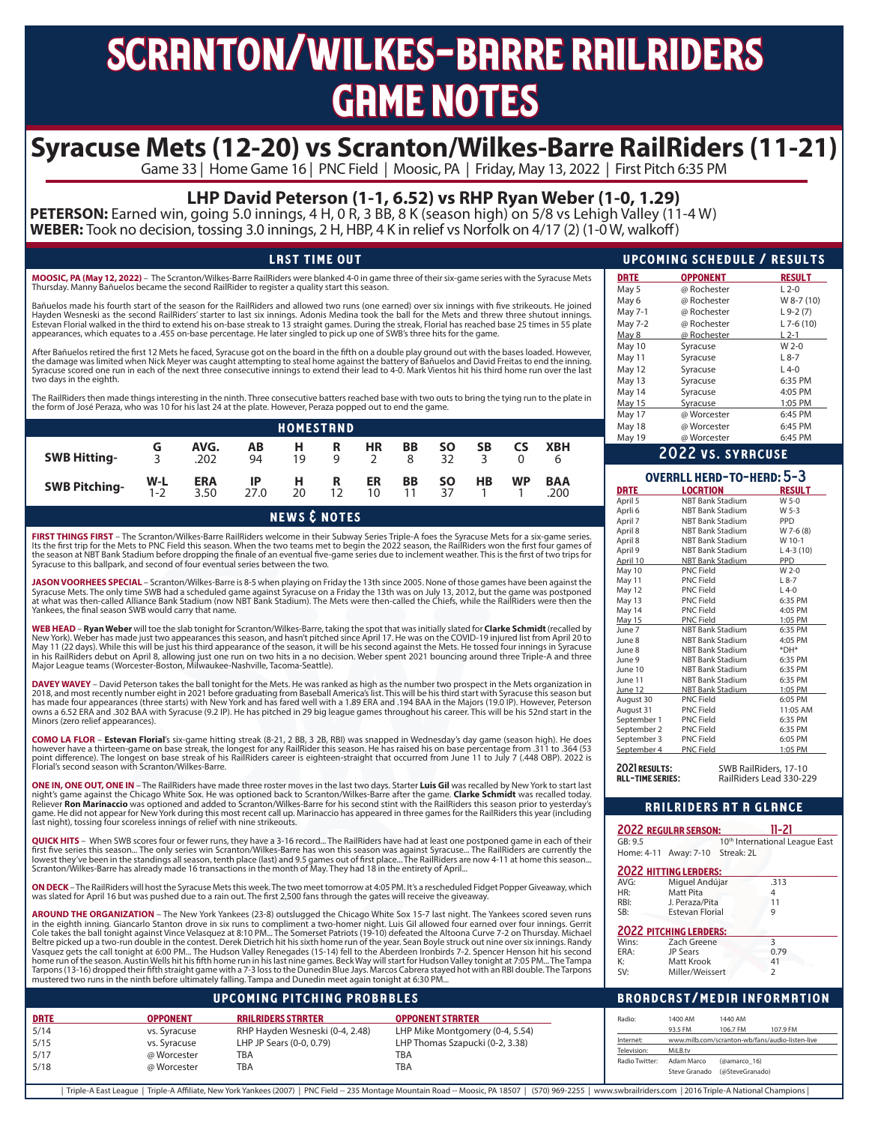# scranton/wilkes-barre railriders **GRME NOTES**

# **Syracuse Mets (12-20) vs Scranton/Wilkes-Barre RailRiders (11-21)**<br>Game 33 | Home Game 16 | PNC Field | Moosic, PA | Friday, May 13, 2022 | First Pitch 6:35 PM

## **LHP David Peterson (1-1, 6.52) vs RHP Ryan Weber (1-0, 1.29)**

**PETERSON:** Earned win, going 5.0 innings, 4 H, 0 R, 3 BB, 8 K (season high) on 5/8 vs Lehigh Valley (11-4 W) **WEBER:** Took no decision, tossing 3.0 innings, 2 H, HBP, 4 K in relief vs Norfolk on 4/17 (2) (1-0 W, walkoff)

### LAST TIME OUT

**MOOSIC, PA (May 12, 2022)** – The Scranton/Wilkes-Barre RailRiders were blanked 4-0 in game three of their six-game series with the Syracuse Mets Thursday. Manny Bañuelos became the second RailRider to register a quality start this season.

Bañuelos made his fourth start of the season for the RailRiders and allowed two runs (one earned) over six innings with five strikeouts. He joined<br>Hayden Wesneski as the second RailRiders' starter to last six innings. Adon Estevan Florial walked in the third to extend his on-base streak to 13 straight games. During the streak, Florial has reached base 25 times in 55 plate<br>appearances, which equates to a .455 on-base percentage. He later sing

After Bañuelos retired the first 12 Mets he faced, Syracuse got on the board in the fifth on a double play ground out with the bases loaded. However, the damage was limited when Nick Meyer was caught attempting to steal home against the battery of Bañuelos and David Freitas to end the inning.<br>Syracuse scored one run in each of the next three consecutive innings to exten two days in the eighth.

The RailRiders then made things interesting in the ninth. Three consecutive batters reached base with two outs to bring the tying run to the plate in the form of José Peraza, who was 10 for his last 24 at the plate. However, Peraza popped out to end the game.

|                      |              |                    |            | <b>HOMESTRND</b> |         |                       |                    |                 |                |           |                    |  |
|----------------------|--------------|--------------------|------------|------------------|---------|-----------------------|--------------------|-----------------|----------------|-----------|--------------------|--|
| <b>SWB Hitting-</b>  | G<br>2       | AVG.<br>.202       | ΑВ<br>94   | н.<br>19         | R.<br>Q | HR                    | BB<br><sub>R</sub> | <b>SO</b><br>32 | SΒ<br>2        | <b>CS</b> | <b>XBH</b>         |  |
| <b>SWB Pitching-</b> | $W-L$<br>1-2 | <b>ERA</b><br>3.50 | IP<br>27.0 | н<br>20          | R<br>12 | ER<br>10 <sup>2</sup> | BB                 | <b>SO</b><br>37 | H <sub>B</sub> | <b>WP</b> | <b>BAA</b><br>.200 |  |

news & notes

**FIRST THINGS FIRST** – The Scranton/Wilkes-Barre RailRiders welcome in their Subway Series Triple-A foes the Syracuse Mets for a six-game series. Its the first trip for the Mets to PNC Field this season. When the two teams met to begin the 2022 season, the RailRiders won the first four games of<br>the season at NBT Bank Stadium before dropping the finale of an eventual Syracuse to this ballpark, and second of four eventual series between the two.

**JASON VOORHEES SPECIAL** – Scranton/Wilkes-Barre is 8-5 when playing on Friday the 13th since 2005. None of those games have been against the<br>Syracuse Mets. The only time SWB had a scheduled game against Syracuse on a Frid at what was then-called Alliance Bank Stadium (now NBT Bank Stadium). The Mets were then-called the Chiefs, while the RailRiders were then the Yankees, the final season SWB would carry that name.

**WEB HEAD – Ryan Weber** will toe the slab tonight for Scranton/Wilkes-Barre, taking the spot that was initially slated for **Clarke Schmidt** (recalled by<br>New York). Weber has made just two appearances this season, and hasn' May 11 (22 days). While this will be just his third appearance of the season, it will be his second against the Mets. He tossed four innings in Syracuse in his RailRiders debut on April 8, allowing just one run on two hits in a no decision. Weber spent 2021 bouncing around three Triple-A and three<br>Major League teams (Worcester-Boston, Milwaukee-Nashville, Tacoma-Seattle).

**DAVEY WAVEY** – David Peterson takes the ball tonight for the Mets. He was ranked as high as the number two prospect in the Mets organization in<br>2018, and most recently number eight in 2021 before graduating from Baseball has made four appearances (three starts) with New York and has fared well with a 1.89 ERA and .194 BAA in the Majors (19.0 IP). However, Peterson owns a 6.52 ERA and .302 BAA with Syracuse (9.2 IP). He has pitched in 29 big league games throughout his career. This will be his 52nd start in the Minors (zero relief appearances).

**COMO LA FLOR – Estevan Florial**'s six-game hitting streak (8-21, 2 BB, 3 2B, RBI) was snapped in Wednesday's day game (season high). He does<br>however have a thirteen-game on base streak, the longest for any RailRider this Florial's second season with Scranton/Wilkes-Barre.

**ONE IN, ONE OUT, ONE IN** – The RailRiders have made three roster moves in the last two days. Starter **Luis Gil** was recalled by New York to start last night's game against the Chicago White Sox. He was optioned back to Scranton/Wilkes-Barre after the game. **Clarke Schmidt** was recalled today.<br>Reliever **Ron Marinaccio** was optioned and added to Scranton/Wilkes-Barre for h last night), tossing four scoreless innings of relief with nine strikeouts.

**QUICK HITS** – When SWB scores four or fewer runs, they have a 3-16 record… The RailRiders have had at least one postponed game in each of their<br>first five series this season… The only series win Scranton/Willes-Barre has Scranton/Wilkes-Barre has already made 16 transactions in the month of May. They had 18 in the entirety of April...

**ON DECK** – The RailRiders will host the Syracuse Mets this week. The two meet tomorrow at 4:05 PM. It's a rescheduled Fidget Popper Giveaway, which<br>was slated for April 16 but was pushed due to a rain out. The first 2,500

**AROUND THE ORGANIZATION** – The New York Yankees (23-8) outslugged the Chicago White Sox 15-7 last night. The Yankees scored seven runs in the eighth inning. Giancarlo Stanton drove in six runs to compliment a two-homer night. Luis Gil allowed four earned over four innings. Gerrit<br>Cole takes the ball tonight against Vince Velasquez at 8:10 PM… The Somerset Beltre picked up a two-run double in the contest. Derek Dietrich hit his sixth home run of the year. Sean Boyle struck out nine over six innings. Randy Vasquez gets the call tonight at 6:00 PM... The Hudson Valley Renegades (15-14) fell to the Aberdeen Ironbirds 7-2. Spencer Henson hit his second home run of the season. Austin Wells hit his fifth home run in his last nine games. Beck Way will start for Hudson Valley tonight at 7:05 PM... The Tampa<br>Tarpons (13-16) dropped their fifth straight game with a 7-3 loss to mustered two runs in the ninth before ultimately falling. Tampa and Dunedin meet again tonight at 6:30 PM...

#### upcoming pitching probables

|             |                 | <b>UPCOMING PITCHING PROBABLES</b> |                                 |                |                               |              | <b>BROADCAST/MEDIA INFORMATION</b>              |  |
|-------------|-----------------|------------------------------------|---------------------------------|----------------|-------------------------------|--------------|-------------------------------------------------|--|
| <b>DRTE</b> | <b>OPPONENT</b> | <b>RAILRIDERS STARTER</b>          | <b>OPPONENT STRRTER</b>         | Radio:         | 1400 AM                       | 1440 AM      |                                                 |  |
| 5/14        | vs. Syracuse    | RHP Hayden Wesneski (0-4, 2.48)    | LHP Mike Montgomery (0-4, 5.54) |                | 93.5 FM                       | 106.7 FM     | 107.9 FM                                        |  |
| 5/15        | vs. Syracuse    | LHP JP Sears (0-0, 0.79)           | LHP Thomas Szapucki (0-2, 3.38) | Internet:      |                               |              | www.milb.com/scranton-wb/fans/audio-listen-live |  |
| 5/17        | @ Worcester     | TBA                                | TBA                             | Television:    | MiLB.tv                       |              |                                                 |  |
| 5/18        | @ Worcester     | TBA                                | <b>TBA</b>                      | Radio Twitter: | Adam Marco                    | (@amarco 16) |                                                 |  |
|             |                 |                                    |                                 |                | Steve Granado (@SteveGranado) |              |                                                 |  |

| Triple-A East League | Triple-A Affiliate, New York Yankees (2007) | PNC Field -- 235 Montage Mountain Road -- Moosic, PA 18507 | (570) 969-2255 | www.swbrailriders.com | 2016 Triple-A National Champions |

|               | UPCOMING SCHEDULE / RESULTS |               |
|---------------|-----------------------------|---------------|
| <b>DRTE</b>   | <b>OPPONENT</b>             | <b>RESULT</b> |
| May 5         | @ Rochester                 | $L$ 2-0       |
| May 6         | @ Rochester                 | W 8-7 (10)    |
| May 7-1       | @ Rochester                 | $L9-2(7)$     |
| May 7-2       | @ Rochester                 | $L$ 7-6 (10)  |
| May 8         | @ Rochester                 | L 2-1         |
| May 10        | Syracuse                    | $W 2-0$       |
| May 11        | Syracuse                    | $L8-7$        |
| May 12        | Syracuse                    | $L$ 4-0       |
| May 13        | Syracuse                    | 6:35 PM       |
| May 14        | Syracuse                    | 4:05 PM       |
| <b>May 15</b> | Syracuse                    | 1:05 PM       |
| May 17        | @ Worcester                 | 6:45 PM       |
| May 18        | @ Worcester                 | 6:45 PM       |
| May 19        | @ Worcester                 | 6:45 PM       |

#### 2022 vs. syracuse

|             | OVERALL HEAD-TO-HEAD: 5-3 |               |
|-------------|---------------------------|---------------|
| <b>DRTE</b> | <b>LOCRTION</b>           | <b>RESULT</b> |
| April 5     | <b>NBT Bank Stadium</b>   | $W$ 5-0       |
| Aprli 6     | <b>NBT Bank Stadium</b>   | $W5-3$        |
| April 7     | <b>NBT Bank Stadium</b>   | <b>PPD</b>    |
| April 8     | <b>NBT Bank Stadium</b>   | W 7-6 (8)     |
| April 8     | <b>NBT Bank Stadium</b>   | W 10-1        |
| April 9     | <b>NBT Bank Stadium</b>   | $L$ 4-3 (10)  |
| April 10    | <b>NBT Bank Stadium</b>   | <b>PPD</b>    |
| May 10      | <b>PNC Field</b>          | $W 2-0$       |
| May 11      | <b>PNC Field</b>          | $L8-7$        |
| May 12      | <b>PNC Field</b>          | $L$ 4-0       |
| May 13      | <b>PNC Field</b>          | 6:35 PM       |
| May 14      | <b>PNC Field</b>          | 4:05 PM       |
| May 15      | <b>PNC Field</b>          | 1:05 PM       |
| June 7      | <b>NBT Bank Stadium</b>   | 6:35 PM       |
| June 8      | <b>NBT Bank Stadium</b>   | 4:05 PM       |
| lune 8      | <b>NBT Bank Stadium</b>   | *DH*          |
| June 9      | <b>NBT Bank Stadium</b>   | 6:35 PM       |
| June 10     | <b>NBT Bank Stadium</b>   | 6:35 PM       |
| June 11     | <b>NBT Bank Stadium</b>   | 6:35 PM       |
| June 12     | <b>NBT Bank Stadium</b>   | 1:05 PM       |
| August 30   | <b>PNC Field</b>          | 6:05 PM       |
| August 31   | <b>PNC Field</b>          | 11:05 AM      |
| September 1 | <b>PNC Field</b>          | 6:35 PM       |
| September 2 | <b>PNC Field</b>          | 6:35 PM       |
| September 3 | <b>PNC Field</b>          | 6:05 PM       |
| September 4 | <b>PNC Field</b>          | 1:05 PM       |

2021 results**:** SWB RailRiders, 17-10 RailRiders Lead 330-229

### railriders at a glance

|           | <b>2022 REGULAR SERSON:</b>      | 11-21                                      |
|-----------|----------------------------------|--------------------------------------------|
| GB:9.5    |                                  | 10 <sup>th</sup> International League East |
|           | Home: 4-11 Away: 7-10 Streak: 2L |                                            |
|           | <b>2022 HITTING LEADERS:</b>     |                                            |
| AVG:      | Miguel Andújar                   | .313                                       |
| HR:       | Matt Pita                        | 4                                          |
| RBI:      | J. Peraza/Pita                   | 11                                         |
| SB:       | <b>Estevan Florial</b>           | g                                          |
|           | <b>2022 PITCHING LEADERS:</b>    |                                            |
| Wins:     | Zach Greene                      | 3                                          |
| ERA:      | JP Sears                         | 0.79                                       |
| K:        | <b>Matt Krook</b>                | 41                                         |
| $\zeta V$ | Miller/Weissert                  | っ                                          |

Miller/Weissert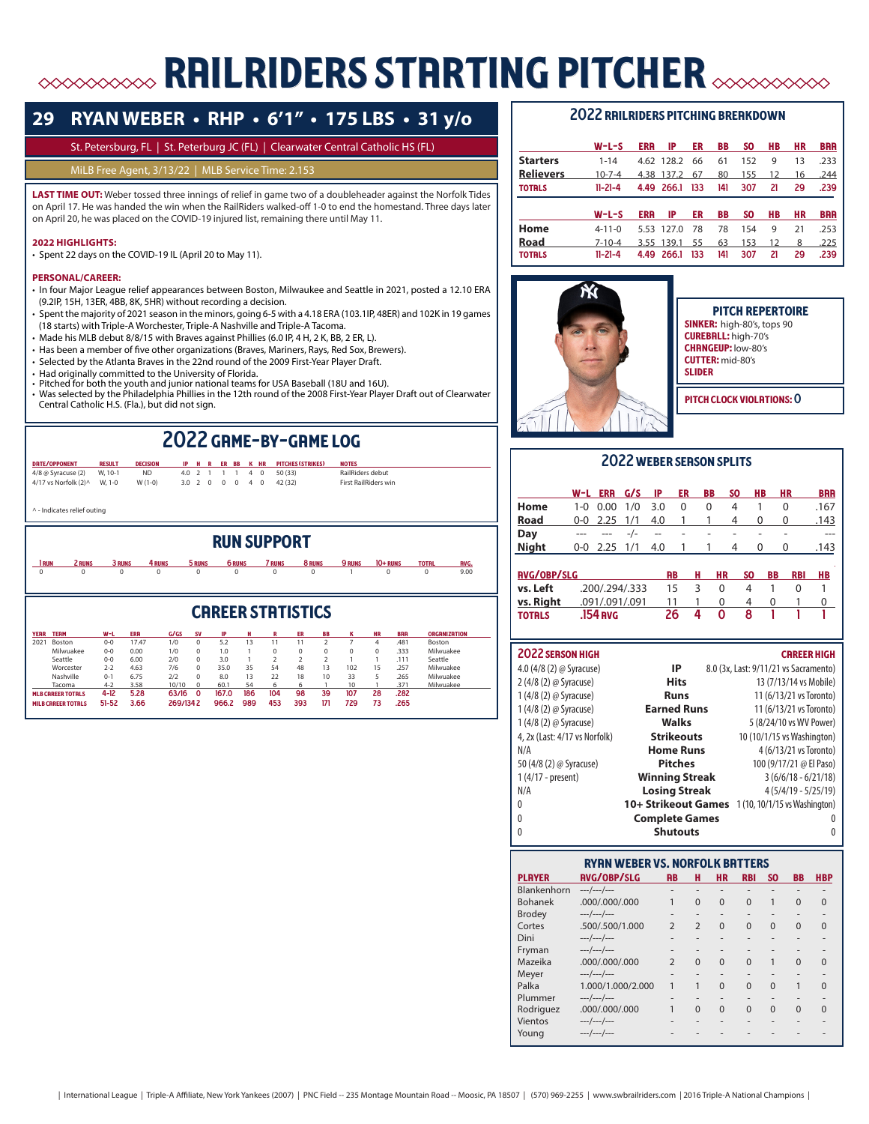# **ERRILRIDERS STARTING PITCHER AND SON STARTING PITCHER**

# **29 RYAN WEBER • RHP • 6'1" • 175 LBS • 31 y/o**

#### St. Petersburg, FL | St. Peterburg JC (FL) | Clearwater Central Catholic HS (FL)

#### MiLB Free Agent, 3/13/22 | MLB Service Time: 2.153

**LAST TIME OUT:** Weber tossed three innings of relief in game two of a doubleheader against the Norfolk Tides on April 17. He was handed the win when the RailRiders walked-off 1-0 to end the homestand. Three days later on April 20, he was placed on the COVID-19 injured list, remaining there until May 11.

#### **2022 HIGHLIGHTS:**

• Spent 22 days on the COVID-19 IL (April 20 to May 11).

#### **PERSONAL/CAREER:**

- In four Major League relief appearances between Boston, Milwaukee and Seattle in 2021, posted a 12.10 ERA (9.2IP, 15H, 13ER, 4BB, 8K, 5HR) without recording a decision.
- Spent the majority of 2021 season in the minors, going 6-5 with a 4.18 ERA (103.1IP, 48ER) and 102K in 19 games (18 starts) with Triple-A Worchester, Triple-A Nashville and Triple-A Tacoma.
- Made his MLB debut 8/8/15 with Braves against Phillies (6.0 IP, 4 H, 2 K, BB, 2 ER, L).
- Has been a member of five other organizations (Braves, Mariners, Rays, Red Sox, Brewers).
- Selected by the Atlanta Braves in the 22nd round of the 2009 First-Year Player Draft.
- Had originally committed to the University of Florida.
- Pitched for both the youth and junior national teams for USA Baseball (18U and 16U). Was selected by the Philadelphia Phillies in the 12th round of the 2008 First-Year Player Draft out of Clearwater Central Catholic H.S. (Fla.), but did not sign.

# 2022 game-by-game log

| 4/8 @ Syracuse (2)<br>4/17 vs Norfolk (2) ^ |        | W. 10-1<br>W. 1-0 | <b>ND</b><br>$W(1-0)$ | 4.0<br>3.0 | $\mathcal{L}$<br>$\overline{2}$ | $\mathbf{0}$ | $\Omega$ | $^{\circ}$    | 4<br>4 | $\Omega$<br>$\mathbf{0}$ | 50 (33)<br>42 (32)      | RailRiders debut<br><b>First RailRiders win</b> |          |              |             |
|---------------------------------------------|--------|-------------------|-----------------------|------------|---------------------------------|--------------|----------|---------------|--------|--------------------------|-------------------------|-------------------------------------------------|----------|--------------|-------------|
| ^ - Indicates relief outing                 |        |                   |                       |            |                                 |              |          |               |        |                          |                         |                                                 |          |              |             |
|                                             |        |                   |                       |            |                                 |              |          |               |        |                          | <b>RUN SUPPORT</b>      |                                                 |          |              |             |
|                                             |        |                   |                       |            |                                 |              |          |               |        |                          |                         |                                                 |          |              |             |
| l run                                       | 2 RUNS | 3 RUNS            | 4 RUNS                |            | 5 RUNS                          |              |          | <b>6 RUNS</b> |        |                          | <b>7 RUNS</b><br>8 RUNS | <b>9 RUNS</b>                                   | 10+ RUNS | <b>TOTAL</b> | <b>RVG.</b> |

**CRREER STRTISTICS** year team w-l era g/gs sv ip h r er bb k hr baa organization 2021 Boston 0-0 17.47 1/0 0 5.2 13 11 11 2 7 4 .481 Boston Milwuakee 0-0 0.00 1/0 0 1.0 1 0 0 0 0 0 .333 Milwuakee Seattle 0-0 6.00 2/0 0 3.0 1 2 2 2 1 1 .111 Seattle Worcester 2-2 4.63 7/6 0 35.0 35 54 48 13 102 15 .257 Milwuakee Nashville 0-1 6.75 2/2 0 8.0 13 22 18 10 33 5 .265 Milwuakee Tacoma 4-2 3.58 10/10 0 60.1 54 6 6 1 10 1 .371 Milwuakee mlb career totals 4-12 5.28 63/16 0 167.0 186 104 98 39 107 28 .282 milb career totals 51-52 3.66 269/134 2 966.2 989 453 393 171 729 73 .265

#### 2022 railriders pitching breakdown

|            | IP         | ER         | BB         | SO. | HВ | HR | <b>BRR</b> |
|------------|------------|------------|------------|-----|----|----|------------|
|            |            | 66         | 61         | 152 | 9  | 13 | .233       |
|            |            | 67         | 80         | 155 | 12 | 16 | .244       |
|            |            |            |            |     |    |    |            |
|            | 4.49 266.1 | 133        | 141        | 307 | 21 | 29 | .239       |
|            |            |            |            |     |    |    |            |
| <b>ERR</b> | IP         | ER         | <b>BB</b>  | SO. | HВ | НR | <b>BRR</b> |
|            | 5.53 127.0 | -78        | 78         | 154 | 9  | 21 | .253       |
|            | 3.55 139.1 | 55         | 63         | 153 | 12 | 8  | .225       |
|            | <b>ERR</b> | 4.38 137.2 | 4.62 128.2 |     |    |    |            |



PITCH REPERTOIRE SINKER: high-80's, tops 90 CUREBRLL: high-70's CHRNGEUP: low-80's CUTTER: mid-80's slider PITCH CLOCK VIOLATIONS: O

### 2022 weber season splits

|              | W-L ERR G/S IP ER          |  |                | BB           | - SO     | <b>HB</b> | <b>HR</b>               | <b>BRR</b> |
|--------------|----------------------------|--|----------------|--------------|----------|-----------|-------------------------|------------|
| Home         | $1-0$ 0.00 $1/0$ 3.0       |  | $\overline{0}$ | 0            | $\sim$ 4 |           |                         | .167       |
| Road         | $0-0$ 2.25 1/1 4.0 1 1 4 0 |  |                |              |          |           | $\overline{\mathbf{0}}$ | .143       |
| Day          |                            |  |                | -/- -- - - - |          |           |                         | ---        |
| <b>Night</b> | $0-0$ 2.25 $1/1$ 4.0       |  | $\overline{1}$ | 1            | 4        | 0         | 0                       | .143       |
|              |                            |  |                |              |          |           |                         |            |

| <b>RVG/OBP/SLG</b> |                | <b>RB</b> | н | <b>HR</b> | SO. | BB | <b>RBI</b> | HВ |
|--------------------|----------------|-----------|---|-----------|-----|----|------------|----|
| vs. Left           | .200/.294/.333 | 15.       |   |           |     |    |            |    |
| vs. Right          | .091/.091/.091 |           |   |           |     |    |            |    |
| <b>TOTRLS</b>      | .154 nvg       | 26        |   | o         |     |    |            |    |

### 2022 season high career high career high career high career high career  $\sim$

| 4.0 (4/8 (2) @ Syracuse)      | IP                    | 8.0 (3x, Last: 9/11/21 vs Sacramento)            |
|-------------------------------|-----------------------|--------------------------------------------------|
| 2 (4/8 (2) @ Syracuse)        | <b>Hits</b>           | 13 (7/13/14 vs Mobile)                           |
| 1 (4/8 (2) @ Syracuse)        | <b>Runs</b>           | 11 (6/13/21 vs Toronto)                          |
| 1 (4/8 (2) @ Syracuse)        | <b>Earned Runs</b>    | 11 (6/13/21 vs Toronto)                          |
| 1 (4/8 (2) @ Syracuse)        | <b>Walks</b>          | 5 (8/24/10 vs WV Power)                          |
| 4, 2x (Last: 4/17 vs Norfolk) | <b>Strikeouts</b>     | 10 (10/1/15 vs Washington)                       |
| N/A                           | <b>Home Runs</b>      | 4 (6/13/21 vs Toronto)                           |
| 50 (4/8 (2) @ Syracuse)       | <b>Pitches</b>        | 100 (9/17/21 @ El Paso)                          |
| 1 (4/17 - present)            | <b>Winning Streak</b> | $3(6/6/18 - 6/21/18)$                            |
| N/A                           | <b>Losing Streak</b>  | $4(5/4/19 - 5/25/19)$                            |
| 0                             |                       | 10+ Strikeout Games 1(10, 10/1/15 vs Washington) |
| 0                             | <b>Complete Games</b> |                                                  |
| 0                             | <b>Shutouts</b>       |                                                  |

|                | <b>RYAN WEBER VS. NORFOLK BATTERS</b> |                          |                          |                |                          |                |           |            |
|----------------|---------------------------------------|--------------------------|--------------------------|----------------|--------------------------|----------------|-----------|------------|
| <b>PLAYER</b>  | <b>RVG/OBP/SLG</b>                    | <b>RB</b>                | н                        | <b>HR</b>      | <b>RBI</b>               | <b>SO</b>      | <b>BB</b> | <b>HBP</b> |
| Blankenhorn    | $---/---/---$                         | -                        |                          |                |                          |                |           |            |
| <b>Bohanek</b> | .000/.000/.000                        | 1                        | $\Omega$                 | $\Omega$       | $\Omega$                 |                | $\Omega$  | $\Omega$   |
| <b>Brodey</b>  | $---/---/---$                         |                          | $\overline{\phantom{a}}$ |                |                          |                |           |            |
| Cortes         | .500/.500/1.000                       | $\overline{\phantom{0}}$ | $\overline{2}$           | $\Omega$       | $\Omega$                 | $\Omega$       | $\Omega$  | $\Omega$   |
| Dini           | $---/---/---$                         | -                        | $\overline{\phantom{a}}$ |                |                          |                |           |            |
| Fryman         | $---/---/---$                         |                          |                          |                |                          |                |           |            |
| Mazeika        | .000/.000/.000                        | $\overline{\phantom{0}}$ | $\Omega$                 | $\Omega$       | $\Omega$                 | 1              | $\Omega$  | $\Omega$   |
| Meyer          | $---/---/---$                         | -                        | $\overline{\phantom{a}}$ |                |                          |                |           |            |
| Palka          | 1.000/1.000/2.000                     | 1                        | 1                        | $\Omega$       | $\Omega$                 | $\Omega$       | 1         | U          |
| Plummer        | ---/---/---                           | -                        | $\overline{\phantom{a}}$ | $\overline{a}$ | $\overline{\phantom{a}}$ | $\overline{a}$ |           |            |
| Rodriguez      | .000/.000/.000                        | 1                        | $\Omega$                 | $\Omega$       | $\Omega$                 | $\Omega$       | $\Omega$  | U          |
| Vientos        | $---/---/---$                         |                          | $\overline{\phantom{a}}$ |                |                          |                |           |            |
| Young          | $---/---/---$                         |                          |                          |                |                          |                |           |            |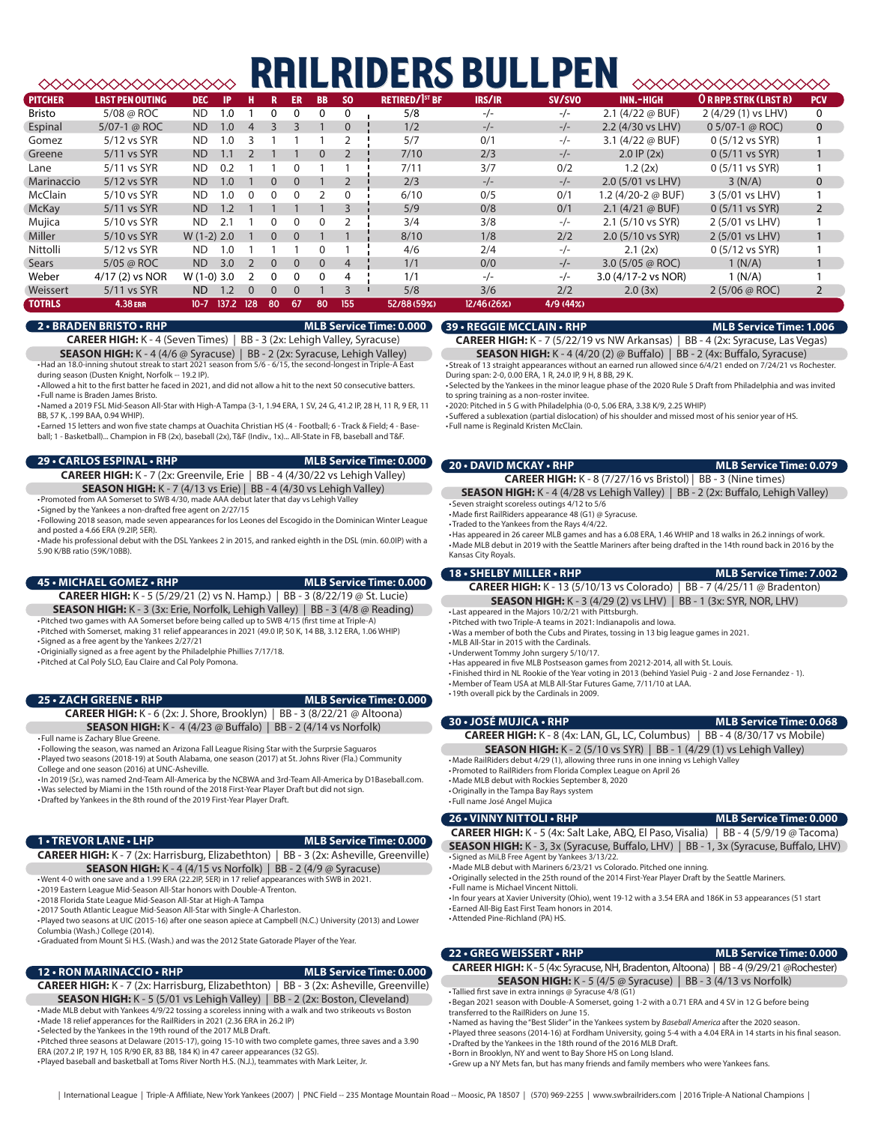# **RAILRIDERS BULLPEN**

|                | ______________________ |              |           |                |          |              |           |                |                                  |             |          |                            | _______________________      |                |
|----------------|------------------------|--------------|-----------|----------------|----------|--------------|-----------|----------------|----------------------------------|-------------|----------|----------------------------|------------------------------|----------------|
| <b>PITCHER</b> | <b>LRST PEN OUTING</b> | <b>DEC</b>   | <b>IP</b> | н              |          | <b>ER</b>    | <b>BB</b> | <b>SO</b>      | <b>RETIRED/1<sup>ST</sup> BF</b> | IRS/IR      | SV/SVO   | <b>INN.-HIGH</b>           | <b>OR RPP. STRK (LAST R)</b> | <b>PCV</b>     |
| <b>Bristo</b>  | 5/08 @ ROC             | <b>ND</b>    | 1.0       |                |          | $\mathbf{0}$ | $\Omega$  | $\Omega$       | 5/8                              | $-/-$       | $-/-$    | 2.1 $(4/22 \omega$ BUF)    | 2 (4/29 (1) vs LHV)          | 0              |
| Espinal        | 5/07-1 $\omega$ ROC    | <b>ND</b>    | 1.0       | $\overline{4}$ |          |              |           |                | 1/2                              | $-/-$       | $-/-$    | 2.2 (4/30 vs LHV)          | $0.5/07-1$ @ ROC)            | $\mathbf 0$    |
| Gomez          | 5/12 vs SYR            | <b>ND</b>    | 1.0       | 3              |          |              |           |                | 5/7                              | 0/1         | $-/-$    | 3.1 $(4/22 \omega$ BUF)    | 0 (5/12 vs SYR)              |                |
| Greene         | 5/11 vs SYR            | <b>ND</b>    | l .1      |                |          |              | $\Omega$  |                | 7/10                             | 2/3         | $-/-$    | $2.0$ IP $(2x)$            | $0(5/11 \text{ vs } SYR)$    |                |
| Lane           | 5/11 vs SYR            | <b>ND</b>    | 0.2       |                |          | <sup>o</sup> |           |                | 7/11                             | 3/7         | 0/2      | 1.2(2x)                    | $0(5/11 \text{ vs } SYR)$    |                |
| Marinaccio     | 5/12 vs SYR            | <b>ND</b>    | 1.0       |                | $\Omega$ | $\Omega$     |           |                | 2/3                              | $-/-$       | $-/-$    | 2.0 (5/01 vs LHV)          | 3(N/A)                       | $\mathbf{0}$   |
| McClain        | 5/10 vs SYR            | ND.          | 1.0       | $\Omega$       | $\Omega$ | $\Omega$     |           | 0              | 6/10                             | 0/5         | 0/1      | 1.2 (4/20-2 @ BUF)         | 3 (5/01 vs LHV)              |                |
| <b>McKay</b>   | 5/11 vs SYR            | <b>ND</b>    | 1.2       |                |          |              |           |                | 5/9                              | 0/8         | 0/1      | $2.1 (4/21 \oslash BUF)$   | $0(5/11 \text{ vs } SYR)$    | $\overline{2}$ |
| Mujica         | 5/10 vs SYR            | ND.          | 2.1       |                | $\Omega$ | 0            | O         |                | 3/4                              | 3/8         | $-/-$    | 2.1 (5/10 vs SYR)          | 2 (5/01 vs LHV)              |                |
| Miller         | 5/10 vs SYR            | $W(1-2)$ 2.0 |           |                | $\Omega$ | $\Omega$     |           |                | 8/10                             | 1/8         | 2/2      | 2.0 (5/10 vs SYR)          | 2 (5/01 vs LHV)              |                |
| Nittolli       | 5/12 vs SYR            | ND.          | 1.0       |                |          |              |           |                | 4/6                              | 2/4         | $-/-$    | 2.1(2x)                    | 0 (5/12 vs SYR)              |                |
| Sears          | $5/05$ @ ROC           | <b>ND</b>    | 3.0       | $\overline{2}$ | $\Omega$ | $\Omega$     | $\Omega$  | $\overline{4}$ | 1/1                              | 0/0         | $-/-$    | 3.0 $(5/05 \text{ @ ROC})$ | 1(N/A)                       |                |
| Weber          | 4/17 (2) vs NOR        | $W(1-0)$ 3.0 |           |                | $\Omega$ | $\Omega$     |           | 4              | 1/1                              | $-/-$       | $-/-$    | 3.0 (4/17-2 vs NOR)        | 1 (N/A)                      |                |
| Weissert       | 5/11 vs SYR            | <b>ND</b>    | 1.2       | $\Omega$       | $\Omega$ | $\Omega$     |           |                | 5/8                              | 3/6         | 2/2      | 2.0(3x)                    | 2(5/06 @ ROC)                | 2              |
| <b>TOTRLS</b>  | 4.38 ERR               | $10 - 7$     | 137.2 128 |                | -80      | -67          | 80        | 155            | 52/88 (59%)                      | 12/46 (26%) | 4/9(44%) |                            |                              |                |

#### **2 • BRADEN BRISTO • RHP MLB Service Time: 0.000**

**CAREER HIGH:** K - 4 (Seven Times) | BB - 3 (2x: Lehigh Valley, Syracuse)

**SEASON HIGH:** K - 4 (4/6 @ Syracuse) | BB - 2 (2x: Syracuse, Lehigh Valley) •Had an 18.0-inning shutout streak to start 2021 season from 5/6 - 6/15, the second-longest in Triple-A East

during season (Dusten Knight, Norfolk -- 19.2 IP). •Allowed a hit to the first batter he faced in 2021, and did not allow a hit to the next 50 consecutive batters.

• Full name is Braden James Bristo. •Named a 2019 FSL Mid-Season All-Star with High-A Tampa (3-1, 1.94 ERA, 1 SV, 24 G, 41.2 IP, 28 H, 11 R, 9 ER, 11 BB, 57 K, .199 BAA, 0.94 WHIP).

• Earned 15 letters and won five state champs at Ouachita Christian HS (4 - Football; 6 - Track & Field; 4 - Baseball; 1 - Basketball)... Champion in FB (2x), baseball (2x), T&F (Indiv., 1x)... All-State in FB, baseball and T&F.

**29 • CARLOS ESPINAL • RHP MLB Service Time: 0.000**

**CAREER HIGH:** K - 7 (2x: Greenvile, Erie | BB - 4 (4/30/22 vs Lehigh Valley) **SEASON HIGH:** K - 7 (4/13 vs Erie) | BB - 4 (4/30 vs Lehigh Valley)

•Promoted from AA Somerset to SWB 4/30, made AAA debut later that day vs Lehigh Valley • Signed by the Yankees a non-drafted free agent on 2/27/15

• Following 2018 season, made seven appearances for los Leones del Escogido in the Dominican Winter League and posted a 4.66 FRA (9.2IP, 5ER).

•Made his professional debut with the DSL Yankees 2 in 2015, and ranked eighth in the DSL (min. 60.0IP) with a 5.90 K/BB ratio (59K/10BB).

#### **45 • MICHAEL GOMEZ • RHP MLB Service Time: 0.000**

**CAREER HIGH:** K - 5 (5/29/21 (2) vs N. Hamp.) | BB - 3 (8/22/19 @ St. Lucie) **SEASON HIGH:** K - 3 (3x: Erie, Norfolk, Lehigh Valley) | BB - 3 (4/8 @ Reading) •Pitched two games with AA Somerset before being called up to SWB 4/15 (first time at Triple-A)

•Pitched with Somerset, making 31 relief appearances in 2021 (49.0 IP, 50 K, 14 BB, 3.12 ERA, 1.06 WHIP) • Signed as a free agent by the Yankees 2/27/21

•Originially signed as a free agent by the Philadelphie Phillies 7/17/18.

•Pitched at Cal Poly SLO, Eau Claire and Cal Poly Pomona.

#### **25 • ZACH GREENE • RHP MLB Service Time: 0.000**

#### **CAREER HIGH:** K - 6 (2x: J. Shore, Brooklyn) | BB - 3 (8/22/21 @ Altoona) **SEASON HIGH:** K - 4 (4/23 @ Buffalo) | BB - 2 (4/14 vs Norfolk)

• Full name is Zachary Blue Greene.

• Following the season, was named an Arizona Fall League Rising Star with the Surprsie Saguaros •Played two seasons (2018-19) at South Alabama, one season (2017) at St. Johns River (Fla.) Community College and one season (2016) at UNC-Asheville.

•In 2019 (Sr.), was named 2nd-Team All-America by the NCBWA and 3rd-Team All-America by D1Baseball.com. •Was selected by Miami in the 15th round of the 2018 First-Year Player Draft but did not sign. •Drafted by Yankees in the 8th round of the 2019 First-Year Player Draft.

### **1 • TREVOR LANE • LHP MLB Service Time: 0.000**

**CAREER HIGH:** K - 7 (2x: Harrisburg, Elizabethton) | BB - 3 (2x: Asheville, Greenville) **SEASON HIGH:** K - 4 (4/15 vs Norfolk) | BB - 2 (4/9 @ Syracuse)

•Went 4-0 with one save and a 1.99 ERA (22.2IP, 5ER) in 17 relief appearances with SWB in 2021.

•2019 Eastern League Mid-Season All-Star honors with Double-A Trenton. •2018 Florida State League Mid-Season All-Star at High-A Tampa

•2017 South Atlantic League Mid-Season All-Star with Single-A Charleston.

•Played two seasons at UIC (2015-16) after one season apiece at Campbell (N.C.) University (2013) and Lower Columbia (Wash.) College (2014).

•Graduated from Mount Si H.S. (Wash.) and was the 2012 State Gatorade Player of the Year.

#### **12 • RON MARINACCIO • RHP MLB Service Time: 0.000**

**CAREER HIGH:** K - 7 (2x: Harrisburg, Elizabethton) | BB - 3 (2x: Asheville, Greenville) **SEASON HIGH:** K - 5 (5/01 vs Lehigh Valley) | BB - 2 (2x: Boston, Cleveland) •Made MLB debut with Yankees 4/9/22 tossing a scoreless inning with a walk and two strikeouts vs Boston •Made 18 relief apperances for the RailRiders in 2021 (2.36 ERA in 26.2 IP)

• Selected by the Yankees in the 19th round of the 2017 MLB Draft.

•Pitched three seasons at Delaware (2015-17), going 15-10 with two complete games, three saves and a 3.90 ERA (207.2 IP, 197 H, 105 R/90 ER, 83 BB, 184 K) in 47 career appearances (32 GS). •Played baseball and basketball at Toms River North H.S. (N.J.), teammates with Mark Leiter, Jr.

## **39 • REGGIE MCCLAIN • RHP MLB Service Time: 1.006**

**CAREER HIGH:** K - 7 (5/22/19 vs NW Arkansas) | BB - 4 (2x: Syracuse, Las Vegas) **SEASON HIGH:** K - 4 (4/20 (2) @ Buffalo) | BB - 2 (4x: Buffalo, Syracuse)

• Streak of 13 straight appearances without an earned run allowed since 6/4/21 ended on 7/24/21 vs Rochester. During span: 2-0, 0.00 ERA, 1 R, 24.0 IP, 9 H, 8 BB, 29 K.

• Selected by the Yankees in the minor league phase of the 2020 Rule 5 Draft from Philadelphia and was invited to spring training as a non-roster invitee.

•2020: Pitched in 5 G with Philadelphia (0-0, 5.06 ERA, 3.38 K/9, 2.25 WHIP)

• Suffered a sublexation (partial dislocation) of his shoulder and missed most of his senior year of HS. • Full name is Reginald Kristen McClain.

#### **20 • DAVID MCKAY • RHP MLB Service Time: 0.079**

**CAREER HIGH:** K - 8 (7/27/16 vs Bristol) | BB - 3 (Nine times)

**SEASON HIGH:** K - 4 (4/28 vs Lehigh Valley) | BB - 2 (2x: Buffalo, Lehigh Valley) • Seven straight scoreless outings 4/12 to 5/6

•Made first RailRiders appearance 48 (G1) @ Syracuse.

• Traded to the Yankees from the Rays 4/4/22.

•Has appeared in 26 career MLB games and has a 6.08 ERA, 1.46 WHIP and 18 walks in 26.2 innings of work. •Made MLB debut in 2019 with the Seattle Mariners after being drafted in the 14th round back in 2016 by the Kansas City Royals.

### **18 • SHELBY MILLER • RHP MLB Service Time: 7.002**

**CAREER HIGH:** K - 13 (5/10/13 vs Colorado) | BB - 7 (4/25/11 @ Bradenton) **SEASON HIGH:** K - 3 (4/29 (2) vs LHV) | BB - 1 (3x: SYR, NOR, LHV)

• Last appeared in the Majors 10/2/21 with Pittsburgh. •Pitched with two Triple-A teams in 2021: Indianapolis and Iowa.

•Was a member of both the Cubs and Pirates, tossing in 13 big league games in 2021.

•MLB All-Star in 2015 with the Cardinals.

•Underwent Tommy John surgery 5/10/17.

•Has appeared in five MLB Postseason games from 20212-2014, all with St. Louis.

- Finished third in NL Rookie of the Year voting in 2013 (behind Yasiel Puig 2 and Jose Fernandez 1).
- •Member of Team USA at MLB All-Star Futures Game, 7/11/10 at LAA. •19th overall pick by the Cardinals in 2009.

**30 • JOSÉ MUJICA • RHP MLB Service Time: 0.068 CAREER HIGH:** K - 8 (4x: LAN, GL, LC, Columbus) | BB - 4 (8/30/17 vs Mobile) **SEASON HIGH:** K - 2 (5/10 vs SYR) | BB - 1 (4/29 (1) vs Lehigh Valley)

•Made RailRiders debut 4/29 (1), allowing three runs in one inning vs Lehigh Valley

- •Promoted to RailRiders from Florida Complex League on April 26
- •Made MLB debut with Rockies September 8, 2020

•Originally in the Tampa Bay Rays system

• Full name José Angel Mujica

**26 • VINNY NITTOLI • RHP MLB Service Time: 0.000 CAREER HIGH:** K - 5 (4x: Salt Lake, ABQ, El Paso, Visalia) | BB - 4 (5/9/19 @ Tacoma)

**SEASON HIGH:** K - 3, 3x (Syracuse, Buffalo, LHV) | BB - 1, 3x (Syracuse, Buffalo, LHV) • Signed as MiLB Free Agent by Yankees 3/13/22.

•Made MLB debut with Mariners 6/23/21 vs Colorado. Pitched one inning.

•Originally selected in the 25th round of the 2014 First-Year Player Draft by the Seattle Mariners. • Full name is Michael Vincent Nittoli.

•In four years at Xavier University (Ohio), went 19-12 with a 3.54 ERA and 186K in 53 appearances (51 start • Earned All-Big East First Team honors in 2014.

•Attended Pine-Richland (PA) HS.

#### **22 • GREG WEISSERT • RHP MLB Service Time: 0.000**

**CAREER HIGH:** K - 5 (4x: Syracuse, NH, Bradenton, Altoona) | BB - 4 (9/29/21 @Rochester) **SEASON HIGH:** K - 5 (4/5 @ Syracuse) | BB - 3 (4/13 vs Norfolk)

• Tallied first save in extra innings @ Syracuse 4/8 (G1) •Began 2021 season with Double-A Somerset, going 1-2 with a 0.71 ERA and 4 SV in 12 G before being transferred to the RailRiders on June 15.

•Named as having the "Best Slider" in the Yankees system by *Baseball America* after the 2020 season.

•Played three seasons (2014-16) at Fordham University, going 5-4 with a 4.04 ERA in 14 starts in his final season. •Drafted by the Yankees in the 18th round of the 2016 MLB Draft.

•Born in Brooklyn, NY and went to Bay Shore HS on Long Island.

•Grew up a NY Mets fan, but has many friends and family members who were Yankees fans.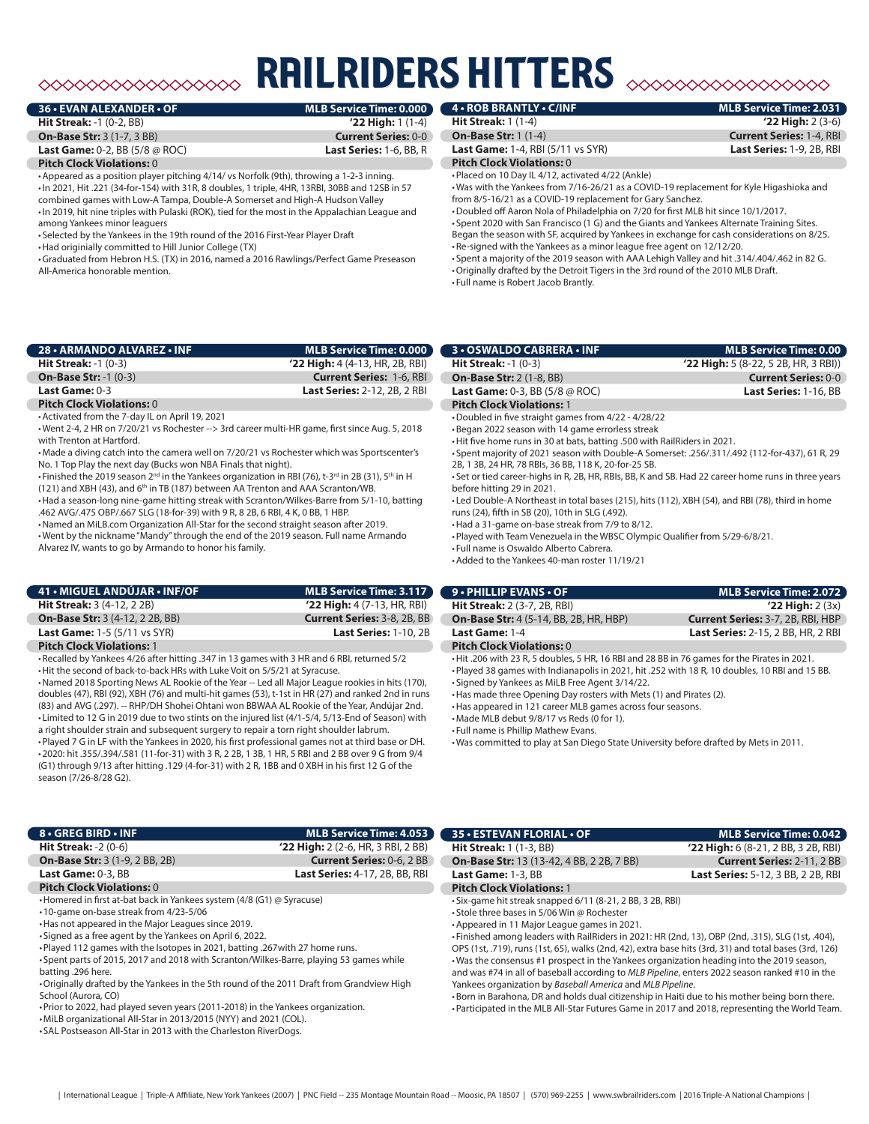# railriders hitters  $\begin{picture}(180,10) \put(0,0){\line(1,0){10}} \put(0,0){\line(1,0){10}} \put(0,0){\line(1,0){10}} \put(0,0){\line(1,0){10}} \put(0,0){\line(1,0){10}} \put(0,0){\line(1,0){10}} \put(0,0){\line(1,0){10}} \put(0,0){\line(1,0){10}} \put(0,0){\line(1,0){10}} \put(0,0){\line(1,0){10}} \put(0,0){\line(1,0){10}} \put(0,0){\line(1,0){10}} \put(0$

| 36 • EVAN ALEXANDER • OF                             | MLB Service Time: 0.000        |
|------------------------------------------------------|--------------------------------|
| <b>Hit Streak: -1 (0-2, BB)</b>                      | $'22$ High: 1 (1-4)            |
| <b>On-Base Str: 3 (1-7, 3 BB)</b>                    | <b>Current Series: 0-0</b>     |
| <b>Last Game:</b> 0-2, BB $(5/8 \oslash \text{ROC})$ | <b>Last Series: 1-6, BB, R</b> |
| <b>Pitch Clock Violations: 0</b>                     |                                |

•Appeared as a position player pitching 4/14/ vs Norfolk (9th), throwing a 1-2-3 inning. •In 2021, Hit .221 (34-for-154) with 31R, 8 doubles, 1 triple, 4HR, 13RBI, 30BB and 12SB in 57 combined games with Low-A Tampa, Double-A Somerset and High-A Hudson Valley •In 2019, hit nine triples with Pulaski (ROK), tied for the most in the Appalachian League and among Yankees minor leaguers

• Selected by the Yankees in the 19th round of the 2016 First-Year Player Draft

•Had originially committed to Hill Junior College (TX)

•Graduated from Hebron H.S. (TX) in 2016, named a 2016 Rawlings/Perfect Game Preseason All-America honorable mention.

| 28 • ARMANDO ALVAREZ • INF                                                                                | MLB Service Time: 0.000             |
|-----------------------------------------------------------------------------------------------------------|-------------------------------------|
| <b>Hit Streak:</b> $-1$ $(0-3)$                                                                           | $'22$ High: 4 (4-13, HR, 2B, RBI)   |
| <b>On-Base Str: -1 (0-3)</b>                                                                              | <b>Current Series: 1-6, RBI</b>     |
| Last Game: $0-3$                                                                                          | <b>Last Series: 2-12, 2B, 2 RBI</b> |
| $\mathbb{R}^{n}$ is a set of $\mathbb{R}^{n}$ in $\mathbb{R}^{n}$ in $\mathbb{R}^{n}$ in $\mathbb{R}^{n}$ |                                     |

#### **Pitch Clock Violations:** 0 •Activated from the 7-day IL on April 19, 2021

•Went 2-4, 2 HR on 7/20/21 vs Rochester --> 3rd career multi-HR game, first since Aug. 5, 2018

with Trenton at Hartford. •Made a diving catch into the camera well on 7/20/21 vs Rochester which was Sportscenter's

No. 1 Top Play the next day (Bucks won NBA Finals that night).

• Finished the 2019 season 2<sup>nd</sup> in the Yankees organization in RBI (76), t-3<sup>rd</sup> in 2B (31), 5<sup>th</sup> in H  $(121)$  and XBH (43), and 6<sup>th</sup> in TB (187) between AA Trenton and AAA Scranton/WB.

•Had a season-long nine-game hitting streak with Scranton/Wilkes-Barre from 5/1-10, batting .462 AVG/.475 OBP/.667 SLG (18-for-39) with 9 R, 8 2B, 6 RBI, 4 K, 0 BB, 1 HBP.

•Named an MiLB.com Organization All-Star for the second straight season after 2019. •Went by the nickname "Mandy" through the end of the 2019 season. Full name Armando Alvarez IV, wants to go by Armando to honor his family.

| 41 • MIGUEL ANDÚJAR • INF/OF           | MLB Service Time: 3.117            |
|----------------------------------------|------------------------------------|
| <b>Hit Streak: 3 (4-12, 2 2B)</b>      | $'22$ High: 4 (7-13, HR, RBI)      |
| <b>On-Base Str: 3 (4-12, 2 2B, BB)</b> | <b>Current Series: 3-8, 2B, BB</b> |
| <b>Last Game: 1-5 (5/11 vs SYR)</b>    | <b>Last Series: 1-10, 2B</b>       |
| <b>Pitch Clock Violations: 1</b>       |                                    |

•Recalled by Yankees 4/26 after hitting .347 in 13 games with 3 HR and 6 RBI, returned 5/2 •Hit the second of back-to-back HRs with Luke Voit on 5/5/21 at Syracuse.

•Named 2018 Sporting News AL Rookie of the Year -- Led all Major League rookies in hits (170), doubles (47), RBI (92), XBH (76) and multi-hit games (53), t-1st in HR (27) and ranked 2nd in runs (83) and AVG (.297). -- RHP/DH Shohei Ohtani won BBWAA AL Rookie of the Year, Andújar 2nd. • Limited to 12 G in 2019 due to two stints on the injured list (4/1-5/4, 5/13-End of Season) with a right shoulder strain and subsequent surgery to repair a torn right shoulder labrum.

•Played 7 G in LF with the Yankees in 2020, his first professional games not at third base or DH. •2020: hit .355/.394/.581 (11-for-31) with 3 R, 2 2B, 1 3B, 1 HR, 5 RBI and 2 BB over 9 G from 9/4 (G1) through 9/13 after hitting .129 (4-for-31) with 2 R, 1BB and 0 XBH in his first 12 G of the season (7/26-8/28 G2).

#### **8 • GREG BIRD • INF MLB Service Time: 4.053 Hit Streak:** -2 (0-6) **'22 High:** 2 (2-6, HR, 3 RBI, 2 BB)

**On-Base Str:** 3 (1-9, 2 BB, 2B) **Current Series:** 0-6, 2 BB **Last Game:** 0-3, BB **Last Series:** 4-17, 2B, BB, RBI

#### **Pitch Clock Violations:** 0

•Homered in first at-bat back in Yankees system (4/8 (G1) @ Syracuse)

•10-game on-base streak from 4/23-5/06

•Has not appeared in the Major Leagues since 2019.

• Signed as a free agent by the Yankees on April 6, 2022.

•Played 112 games with the Isotopes in 2021, batting .267with 27 home runs.

• Spent parts of 2015, 2017 and 2018 with Scranton/Wilkes-Barre, playing 53 games while batting .296 here.

•Originally drafted by the Yankees in the 5th round of the 2011 Draft from Grandview High School (Aurora, CO)

•Prior to 2022, had played seven years (2011-2018) in the Yankees organization.

•MiLB organizational All-Star in 2013/2015 (NYY) and 2021 (COL).

• SAL Postseason All-Star in 2013 with the Charleston RiverDogs.

| <b>4 . ROB BRANTLY . C/INF</b>           | MLB Service Time: 2.031         |
|------------------------------------------|---------------------------------|
| <b>Hit Streak:</b> $1(1-4)$              | $'22$ High: 2 (3-6)             |
| <b>On-Base Str: 1 (1-4)</b>              | <b>Current Series: 1-4, RBI</b> |
| <b>Last Game: 1-4, RBI (5/11 vs SYR)</b> | Last Series: 1-9, 2B, RBI       |

**Pitch Clock Violations:** 0

•Placed on 10 Day IL 4/12, activated 4/22 (Ankle) •Was with the Yankees from 7/16-26/21 as a COVID-19 replacement for Kyle Higashioka and from 8/5-16/21 as a COVID-19 replacement for Gary Sanchez.

•Doubled off Aaron Nola of Philadelphia on 7/20 for first MLB hit since 10/1/2017.

• Spent 2020 with San Francisco (1 G) and the Giants and Yankees Alternate Training Sites. Began the season with SF, acquired by Yankees in exchange for cash considerations on 8/25. •Re-signed with the Yankees as a minor league free agent on 12/12/20. • Spent a majority of the 2019 season with AAA Lehigh Valley and hit .314/.404/.462 in 82 G.

•Originally drafted by the Detroit Tigers in the 3rd round of the 2010 MLB Draft. • Full name is Robert Jacob Brantly.

| <b>3 • OSWALDO CABRERA • INF</b>                     | MLB Service Time: 0.00                 |
|------------------------------------------------------|----------------------------------------|
| <b>Hit Streak:</b> $-1$ (0 $-3$ )                    | $'22$ High: 5 (8-22, 5 2B, HR, 3 RBI)) |
| <b>On-Base Str: 2 (1-8, BB)</b>                      | <b>Current Series: 0-0</b>             |
| <b>Last Game:</b> 0-3, BB $(5/8 \oslash \text{ROC})$ | Last Series: 1-16, BB                  |
| <b>Pitch Clock Violations: 1</b>                     |                                        |
| •Doubled in five straight games from 4/22 - 4/28/22  |                                        |

•Began 2022 season with 14 game errorless streak •Hit five home runs in 30 at bats, batting .500 with RailRiders in 2021.

• Spent majority of 2021 season with Double-A Somerset: .256/.311/.492 (112-for-437), 61 R, 29 2B, 1 3B, 24 HR, 78 RBIs, 36 BB, 118 K, 20-for-25 SB.

• Set or tied career-highs in R, 2B, HR, RBIs, BB, K and SB. Had 22 career home runs in three years before hitting 29 in 2021.

• Led Double-A Northeast in total bases (215), hits (112), XBH (54), and RBI (78), third in home runs (24), fifth in SB (20), 10th in SLG (.492).

•Had a 31-game on-base streak from 7/9 to 8/12.

•Played with Team Venezuela in the WBSC Olympic Qualifier from 5/29-6/8/21.

• Full name is Oswaldo Alberto Cabrera.

•Added to the Yankees 40-man roster 11/19/21

| <b>9 • PHILLIP EVANS • OF</b>                                                                | <b>MLB Service Time: 2.072</b>            |  |  |  |  |
|----------------------------------------------------------------------------------------------|-------------------------------------------|--|--|--|--|
| <b>Hit Streak:</b> 2 (3-7, 2B, RBI)                                                          | $'22$ High: $2(3x)$                       |  |  |  |  |
| <b>On-Base Str: 4 (5-14, BB, 2B, HR, HBP)</b>                                                | <b>Current Series: 3-7, 2B, RBI, HBP</b>  |  |  |  |  |
| Last Game: 1-4                                                                               | <b>Last Series: 2-15, 2 BB, HR, 2 RBI</b> |  |  |  |  |
| <b>Pitch Clock Violations: 0</b>                                                             |                                           |  |  |  |  |
| . Hit .206 with 23 R, 5 doubles, 5 HR, 16 RBI and 28 BB in 76 games for the Pirates in 2021. |                                           |  |  |  |  |
| DI LOO   I' DOOGLY OF OUR ARREST LI ARDEL LAFED                                              |                                           |  |  |  |  |

•Played 38 games with Indianapolis in 2021, hit .252 with 18 R, 10 doubles, 10 RBI and 15 BB. • Signed by Yankees as MiLB Free Agent 3/14/22.

•Has made three Opening Day rosters with Mets (1) and Pirates (2).

•Has appeared in 121 career MLB games across four seasons.

•Made MLB debut 9/8/17 vs Reds (0 for 1).

• Full name is Phillip Mathew Evans.

•Was committed to play at San Diego State University before drafted by Mets in 2011.

| 35 • ESTEVAN FLORIAL • OF                        | <b>MLB Service Time: 0.042</b>            |
|--------------------------------------------------|-------------------------------------------|
| <b>Hit Streak: 1 (1-3, BB)</b>                   | $'22$ High: 6 (8-21, 2 BB, 3 2B, RBI)     |
| <b>On-Base Str:</b> 13 (13-42, 4 BB, 2 2B, 7 BB) | <b>Current Series: 2-11, 2 BB</b>         |
| Last Game: 1-3, BB                               | <b>Last Series:</b> 5-12, 3 BB, 2 2B, RBI |
| <b>Pitch Clock Violations: 1</b>                 |                                           |

• Six-game hit streak snapped 6/11 (8-21, 2 BB, 3 2B, RBI)

• Stole three bases in 5/06 Win @ Rochester

•Appeared in 11 Major League games in 2021.

• Finished among leaders with RailRiders in 2021: HR (2nd, 13), OBP (2nd, .315), SLG (1st, .404), OPS (1st, .719), runs (1st, 65), walks (2nd, 42), extra base hits (3rd, 31) and total bases (3rd, 126) •Was the consensus #1 prospect in the Yankees organization heading into the 2019 season, and was #74 in all of baseball according to *MLB Pipeline*, enters 2022 season ranked #10 in the Yankees organization by *Baseball America* and *MLB Pipeline*.

•Born in Barahona, DR and holds dual citizenship in Haiti due to his mother being born there. •Participated in the MLB All-Star Futures Game in 2017 and 2018, representing the World Team.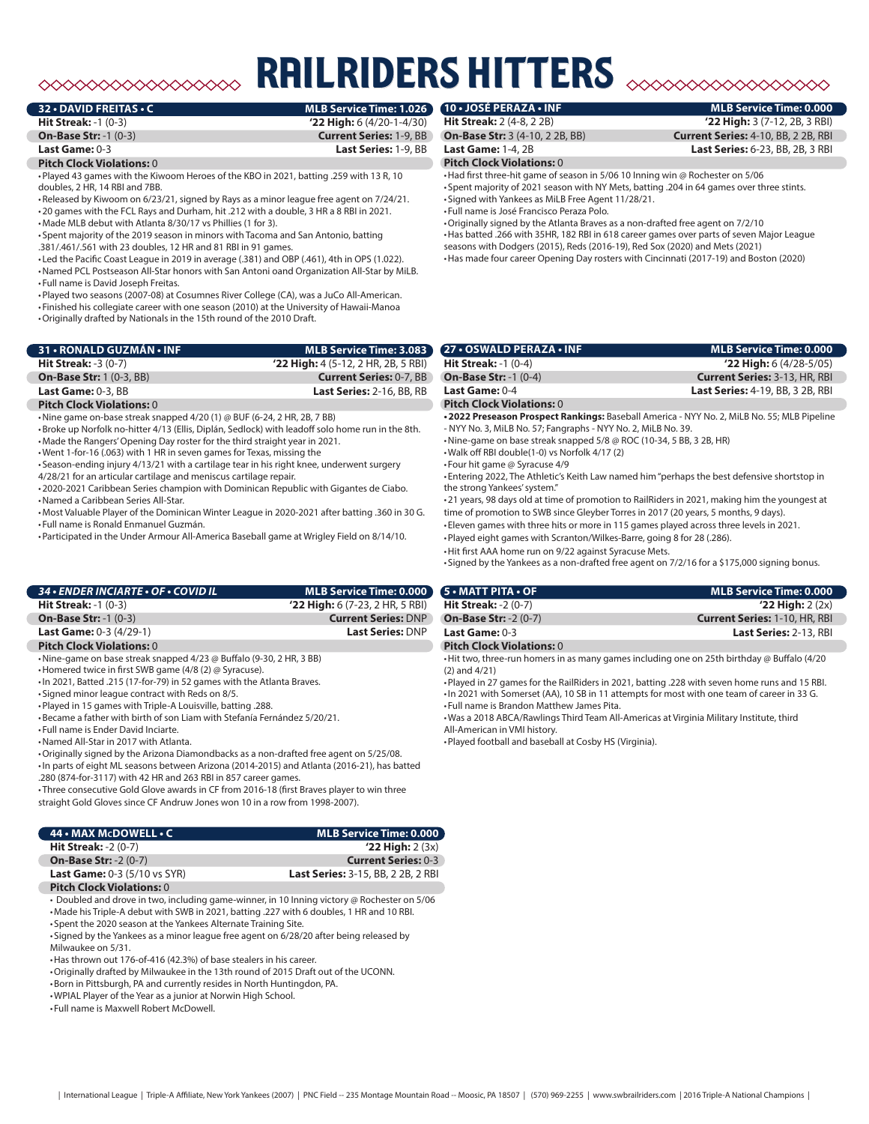# $\begin{picture}(180,10) \put(0,0){\vector(1,0){10}} \put(0,0){\vector(1,0){10}} \put(0,0){\vector(1,0){10}} \put(0,0){\vector(1,0){10}} \put(0,0){\vector(1,0){10}} \put(0,0){\vector(1,0){10}} \put(0,0){\vector(1,0){10}} \put(0,0){\vector(1,0){10}} \put(0,0){\vector(1,0){10}} \put(0,0){\vector(1,0){10}} \put(0,0){\vector(1,0){10}} \put(0,0){\vector(1,0){10}} \put(0$

# **RAILRIDERS HITTERS**

**32 • DAVID FREITAS • C MLB Service Time: 1.026**

**On-Base Str:** -1 (0-3) **Current Series:** 1-9, BB

# **Hit Streak:** -1 (0-3) **'22 High:** 6 (4/20-1-4/30)

### **Last Game:** 0-3 **Last Series:** 1-9, BB

#### **Pitch Clock Violations:** 0

•Played 43 games with the Kiwoom Heroes of the KBO in 2021, batting .259 with 13 R, 10 doubles, 2 HR, 14 RBI and 7BB.

•Released by Kiwoom on 6/23/21, signed by Rays as a minor league free agent on 7/24/21. •20 games with the FCL Rays and Durham, hit .212 with a double, 3 HR a 8 RBI in 2021.

•Made MLB debut with Atlanta 8/30/17 vs Phillies (1 for 3). • Spent majority of the 2019 season in minors with Tacoma and San Antonio, batting

.381/.461/.561 with 23 doubles, 12 HR and 81 RBI in 91 games.

• Led the Pacific Coast League in 2019 in average (.381) and OBP (.461), 4th in OPS (1.022). •Named PCL Postseason All-Star honors with San Antoni oand Organization All-Star by MiLB. • Full name is David Joseph Freitas.

•Played two seasons (2007-08) at Cosumnes River College (CA), was a JuCo All-American.

• Finished his collegiate career with one season (2010) at the University of Hawaii-Manoa

•Originally drafted by Nationals in the 15th round of the 2010 Draft.

| MLB Service Time: 3.083               |
|---------------------------------------|
| $'22$ High: 4 (5-12, 2 HR, 2B, 5 RBI) |
| <b>Current Series: 0-7, BB</b>        |
| <b>Last Series: 2-16, BB, RB</b>      |
|                                       |

#### **Pitch Clock Violations:** 0

•Nine game on-base streak snapped 4/20 (1) @ BUF (6-24, 2 HR, 2B, 7 BB)

•Broke up Norfolk no-hitter 4/13 (Ellis, Diplán, Sedlock) with leadoff solo home run in the 8th.

•Made the Rangers' Opening Day roster for the third straight year in 2021.

•Went 1-for-16 (.063) with 1 HR in seven games for Texas, missing the

• Season-ending injury 4/13/21 with a cartilage tear in his right knee, underwent surgery

4/28/21 for an articular cartilage and meniscus cartilage repair. •2020-2021 Caribbean Series champion with Dominican Republic with Gigantes de Ciabo.

•Named a Caribbean Series All-Star.

•Most Valuable Player of the Dominican Winter League in 2020-2021 after batting .360 in 30 G. • Full name is Ronald Enmanuel Guzmán.

•Participated in the Under Armour All-America Baseball game at Wrigley Field on 8/14/10.

## *34 • ENDER INCIARTE • OF • COVID IL* **MLB Service Time: 0.000 Hit Streak:** -1 (0-3) **'22 High:** 6 (7-23, 2 HR, 5 RBI)

| <b>On-Base Str: -1 (0-3)</b>     | <b>Current Series: DNP</b> |
|----------------------------------|----------------------------|
| <b>Last Game:</b> 0-3 (4/29-1)   | <b>Last Series: DNP</b>    |
| <b>Pitch Clock Violations:</b> 0 |                            |

•Nine-game on base streak snapped 4/23 @ Buffalo (9-30, 2 HR, 3 BB)

- •Homered twice in first SWB game (4/8 (2) @ Syracuse).
- •In 2021, Batted .215 (17-for-79) in 52 games with the Atlanta Braves.
- Signed minor league contract with Reds on 8/5.
- •Played in 15 games with Triple-A Louisville, batting .288.
- •Became a father with birth of son Liam with Stefanía Fernández 5/20/21.

• Full name is Ender David Inciarte.

 $\overline{\phantom{a}}$ 

•Named All-Star in 2017 with Atlanta.

•Originally signed by the Arizona Diamondbacks as a non-drafted free agent on 5/25/08. •In parts of eight ML seasons between Arizona (2014-2015) and Atlanta (2016-21), has batted

.280 (874-for-3117) with 42 HR and 263 RBI in 857 career games.

• Three consecutive Gold Glove awards in CF from 2016-18 (first Braves player to win three straight Gold Gloves since CF Andruw Jones won 10 in a row from 1998-2007).

| 44 • MAX McDOWELL • C                    | <b>MLB Service Time: 0.000</b>            |
|------------------------------------------|-------------------------------------------|
| <b>Hit Streak: -2 <math>(0-7)</math></b> | $'22$ High: $2(3x)$                       |
| <b>On-Base Str: -2 (0-7)</b>             | <b>Current Series: 0-3</b>                |
| <b>Last Game: 0-3 (5/10 vs SYR)</b>      | <b>Last Series: 3-15, BB, 2 2B, 2 RBI</b> |

#### **Pitch Clock Violations:** 0

• Doubled and drove in two, including game-winner, in 10 Inning victory @ Rochester on 5/06 •Made his Triple-A debut with SWB in 2021, batting .227 with 6 doubles, 1 HR and 10 RBI.

• Spent the 2020 season at the Yankees Alternate Training Site. • Signed by the Yankees as a minor league free agent on 6/28/20 after being released by

Milwaukee on 5/31.

•Has thrown out 176-of-416 (42.3%) of base stealers in his career.

•Originally drafted by Milwaukee in the 13th round of 2015 Draft out of the UCONN.

•Born in Pittsburgh, PA and currently resides in North Huntingdon, PA.

•WPIAL Player of the Year as a junior at Norwin High School.

• Full name is Maxwell Robert McDowell.

**Hit Streak:** 2 (4-8, 2 2B) **'22 High:** 3 (7-12, 2B, 3 RBI)

#### **Pitch Clock Violations:** 0

•Had first three-hit game of season in 5/06 10 Inning win @ Rochester on 5/06 • Spent majority of 2021 season with NY Mets, batting .204 in 64 games over three stints. • Signed with Yankees as MiLB Free Agent 11/28/21. • Full name is José Francisco Peraza Polo.

•Originally signed by the Atlanta Braves as a non-drafted free agent on 7/2/10 •Has batted .266 with 35HR, 182 RBI in 618 career games over parts of seven Major League seasons with Dodgers (2015), Reds (2016-19), Red Sox (2020) and Mets (2021) •Has made four career Opening Day rosters with Cincinnati (2017-19) and Boston (2020)

**27 • OSWALD PERAZA • INF MLB Service Time: 0.000 Hit Streak:** -1 (0-4) **'22 High:** 6 (4/28-5/05) **On-Base Str:** -1 (0-4) **Current Series:** 3-13, HR, RBI **Last Game:** 0-4 **Last Series:** 4-19, BB, 3 2B, RBI **Pitch Clock Violations:** 0 **•2022 Preseason Prospect Rankings:** Baseball America - NYY No. 2, MiLB No. 55; MLB Pipeline

- NYY No. 3, MiLB No. 57; Fangraphs - NYY No. 2, MiLB No. 39.

•Nine-game on base streak snapped 5/8 @ ROC (10-34, 5 BB, 3 2B, HR)

•Walk off RBI double(1-0) vs Norfolk 4/17 (2)

• Four hit game @ Syracuse 4/9

• Entering 2022, The Athletic's Keith Law named him "perhaps the best defensive shortstop in the strong Yankees' system."

•21 years, 98 days old at time of promotion to RailRiders in 2021, making him the youngest at time of promotion to SWB since Gleyber Torres in 2017 (20 years, 5 months, 9 days).

• Eleven games with three hits or more in 115 games played across three levels in 2021.

•Played eight games with Scranton/Wilkes-Barre, going 8 for 28 (.286).

•Hit first AAA home run on 9/22 against Syracuse Mets.

• Signed by the Yankees as a non-drafted free agent on 7/2/16 for a \$175,000 signing bonus.

| 5 • MATT PITA • OF                       | <b>MLB Service Time: 0.000</b>       |
|------------------------------------------|--------------------------------------|
| <b>Hit Streak: -2 <math>(0-7)</math></b> | $'22$ High: $2(2x)$                  |
| <b>On-Base Str: -2 (0-7)</b>             | <b>Current Series: 1-10, HR, RBI</b> |
| Last Game: $0-3$                         | Last Series: 2-13, RBI               |
| <b>Pitch Clock Violations: 0</b>         |                                      |

•Hit two, three-run homers in as many games including one on 25th birthday @ Buffalo (4/20 (2) and 4/21)

•Played in 27 games for the RailRiders in 2021, batting .228 with seven home runs and 15 RBI. •In 2021 with Somerset (AA), 10 SB in 11 attempts for most with one team of career in 33 G. • Full name is Brandon Matthew James Pita.

•Was a 2018 ABCA/Rawlings Third Team All-Americas at Virginia Military Institute, third

All-American in VMI history.

•Played football and baseball at Cosby HS (Virginia).

# **10 • JOSÉ PERAZA • INF MLB Service Time: 0.000**

**On-Base Str:** 3 (4-10, 2 2B, BB) **Current Series:** 4-10, BB, 2 2B, RBI **Last Game:** 1-4, 2B **Last Series:** 6-23, BB, 2B, 3 RBI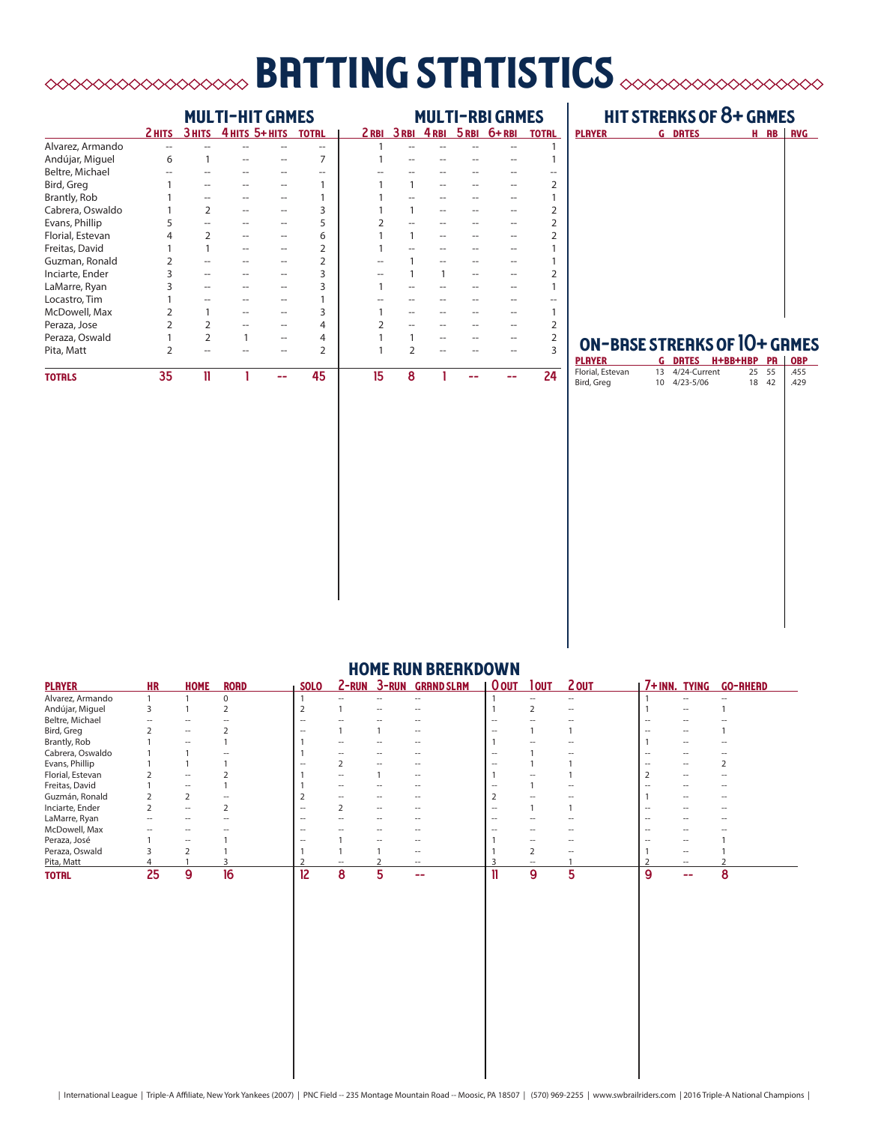# batting statistics

|                  | <b>MULTI-HIT GRMES</b> |        |  |                |                | <b>MULTI-RBI GRMES</b> |   |   |  |                           |              |
|------------------|------------------------|--------|--|----------------|----------------|------------------------|---|---|--|---------------------------|--------------|
|                  | 2 HITS                 | 3 HITS |  | 4 HITS 5+ HITS | <b>TOTRL</b>   |                        |   |   |  | 2RBI 3RBI 4RBI 5RBI 6+RBI | <b>TOTRL</b> |
| Alvarez, Armando | --                     |        |  |                |                |                        |   |   |  |                           |              |
| Andújar, Miguel  | 6                      |        |  |                |                |                        |   |   |  |                           |              |
| Beltre, Michael  |                        |        |  |                |                |                        |   |   |  |                           |              |
| Bird, Greg       |                        |        |  |                |                |                        | 1 |   |  |                           |              |
| Brantly, Rob     |                        |        |  |                |                |                        |   |   |  |                           |              |
| Cabrera, Oswaldo |                        |        |  |                | 3              |                        |   |   |  |                           |              |
| Evans, Phillip   |                        |        |  |                | 5              |                        |   |   |  |                           |              |
| Florial, Estevan | 4                      | フ      |  |                | 6              |                        |   |   |  |                           |              |
| Freitas, David   |                        |        |  |                | $\overline{2}$ |                        |   |   |  |                           |              |
| Guzman, Ronald   |                        |        |  |                | 2              |                        |   |   |  |                           |              |
| Inciarte, Ender  |                        |        |  |                | 3              |                        |   | 1 |  |                           |              |
| LaMarre, Ryan    |                        |        |  |                | 3              |                        |   |   |  |                           |              |
| Locastro, Tim    |                        |        |  |                |                |                        |   |   |  |                           |              |
| McDowell, Max    |                        |        |  |                | 3              |                        |   |   |  |                           |              |
| Peraza, Jose     |                        |        |  |                | 4              |                        |   |   |  |                           |              |
| Peraza, Oswald   |                        | C      |  |                | 4              |                        |   |   |  |                           |              |
| Pita, Matt       | 2                      |        |  |                | $\overline{2}$ |                        | C |   |  |                           |              |
| <b>TOTRLS</b>    | 35                     | 11     |  |                | 45             | 15                     | 8 |   |  |                           | 24           |

## hit streaks of 8+ games

| <b>PLAYER</b> | <b>G</b> DRTES | H RB | ı<br><b>RVG</b> |
|---------------|----------------|------|-----------------|
|               |                |      |                 |
|               |                |      |                 |
|               |                |      |                 |
|               |                |      |                 |
|               |                |      |                 |
|               |                |      |                 |
|               |                |      |                 |
|               |                |      |                 |
|               |                |      |                 |
|               |                |      |                 |

# on-base streaks of 10+ games

| <b>PLAYER</b>    |    |              | <b>G DRTES H+BB+HBP PR</b> |    |    | <b>OBP</b> |
|------------------|----|--------------|----------------------------|----|----|------------|
| Florial, Estevan | 13 | 4/24-Current |                            | 25 | 55 | .455       |
| Bird, Greg       |    | 10 4/23-5/06 |                            | 18 | 42 | .429       |
|                  |    |              |                            |    |    |            |
|                  |    |              |                            |    |    |            |
|                  |    |              |                            |    |    |            |
|                  |    |              |                            |    |    |            |
|                  |    |              |                            |    |    |            |
|                  |    |              |                            |    |    |            |
|                  |    |              |                            |    |    |            |
|                  |    |              |                            |    |    |            |
|                  |    |              |                            |    |    |            |
|                  |    |              |                            |    |    |            |
|                  |    |              |                            |    |    |            |
|                  |    |              |                            |    |    |            |
|                  |    |              |                            |    |    |            |
|                  |    |              |                            |    |    |            |
|                  |    |              |                            |    |    |            |
|                  |    |              |                            |    |    |            |
|                  |    |              |                            |    |    |            |
|                  |    |              |                            |    |    |            |
|                  |    |              |                            |    |    |            |
|                  |    |              |                            |    |    |            |
|                  |    |              |                            |    |    |            |
|                  |    |              |                            |    |    |            |
|                  |    |              |                            |    |    |            |
|                  |    |              |                            |    |    |            |

| <b>PLAYER</b>    | <b>HR</b>                | <b>HOME</b>              | <b>RORD</b> | <b>SOLO</b>       | $2 - RUN$                | $3 - RUN$ | <b>GRAND SLAM</b> | <b>O</b> OUT             | lout              | 2 OUT             | 7+INN. TYING |                          | <b>GO-RHERD</b> |
|------------------|--------------------------|--------------------------|-------------|-------------------|--------------------------|-----------|-------------------|--------------------------|-------------------|-------------------|--------------|--------------------------|-----------------|
| Alvarez, Armando |                          |                          | 0           |                   | $\hspace{0.05cm}$        | --        | $ -$              |                          |                   | $\hspace{0.05cm}$ |              | $\hspace{0.05cm}$        | --              |
| Andújar, Miguel  | 3                        |                          |             |                   |                          |           |                   |                          |                   | $\hspace{0.05cm}$ |              |                          |                 |
| Beltre, Michael  |                          |                          |             | -                 |                          |           |                   | --                       |                   |                   |              |                          |                 |
| Bird, Greg       |                          | $\overline{\phantom{a}}$ |             |                   |                          |           | --                |                          |                   |                   |              |                          |                 |
| Brantly, Rob     |                          | $\overline{\phantom{a}}$ |             |                   | --                       |           | --                |                          |                   |                   |              | --                       |                 |
| Cabrera, Oswaldo |                          |                          |             |                   |                          |           |                   | --                       |                   |                   |              |                          |                 |
| Evans, Phillip   |                          |                          |             |                   |                          |           |                   |                          |                   |                   |              |                          |                 |
| Florial, Estevan |                          | $\overline{\phantom{a}}$ |             |                   | $- -$                    |           | $ -$              |                          |                   |                   |              | $ -$                     |                 |
| Freitas, David   |                          | $\overline{\phantom{a}}$ |             |                   | $\overline{\phantom{a}}$ | --        | --                |                          |                   | $\hspace{0.05cm}$ |              | $\overline{\phantom{a}}$ |                 |
| Guzmán, Ronald   |                          |                          |             |                   |                          |           |                   |                          |                   |                   |              | --                       |                 |
| Inciarte, Ender  |                          | $\hspace{0.05cm}$        |             | --                |                          | $-$       | --                | $\overline{\phantom{a}}$ |                   |                   |              |                          |                 |
| LaMarre, Ryan    | $\overline{\phantom{a}}$ | $\overline{\phantom{a}}$ |             | $\hspace{0.05cm}$ | $\hspace{0.05cm}$        | --        | --                | $\hspace{0.05cm}$        |                   |                   |              | --                       | --              |
| McDowell, Max    |                          |                          |             | --                |                          |           |                   | --                       |                   |                   |              |                          |                 |
| Peraza, José     |                          |                          |             |                   |                          |           |                   |                          |                   |                   |              |                          |                 |
| Peraza, Oswald   |                          |                          |             |                   |                          |           | --                |                          |                   |                   |              | $- -$                    |                 |
| Pita, Matt       |                          |                          |             |                   |                          |           | $\hspace{0.05cm}$ |                          | $\hspace{0.05cm}$ |                   |              | $ -$                     |                 |
| <b>TOTRL</b>     | 25                       | 9                        | 16          | 12                | 8                        |           | --                |                          | 9                 | 5                 | 9            | --                       | 8               |

## **HOME RUN BREAKDOWN**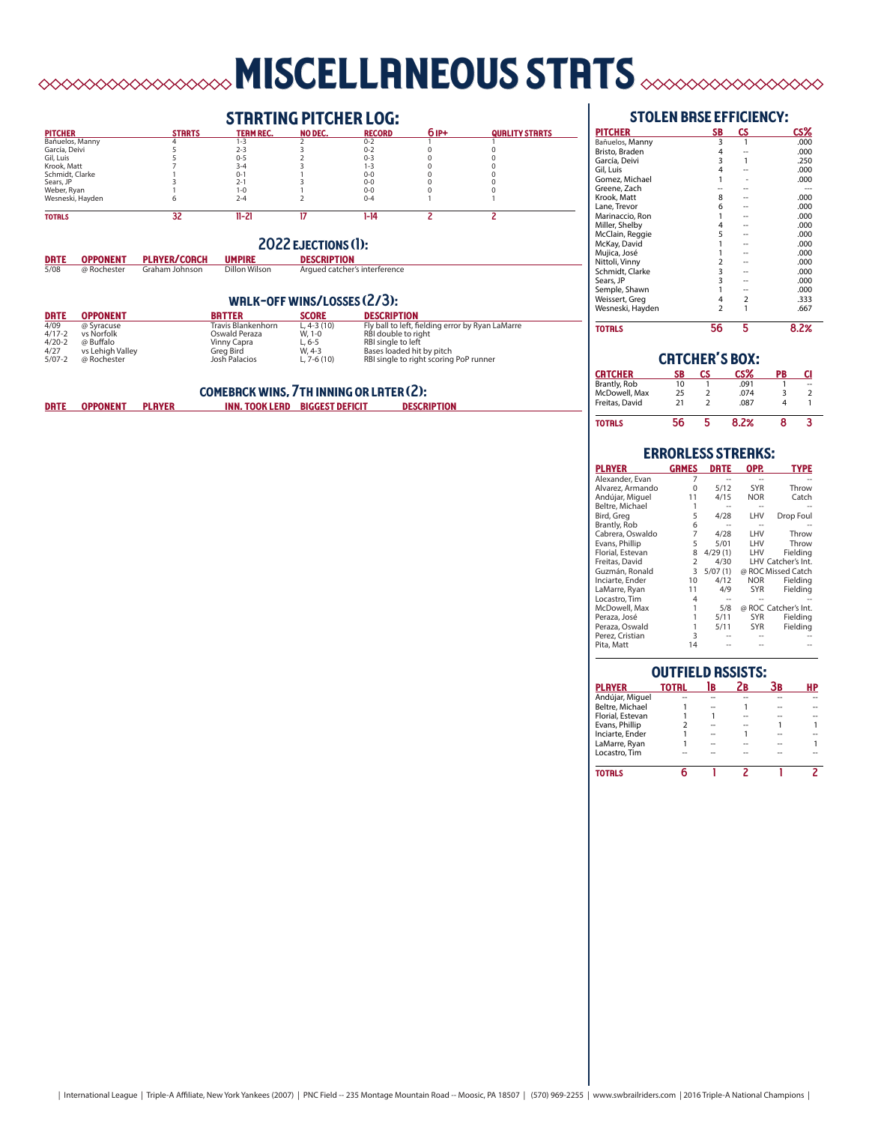# miscellaneous stats

## **STRRTING PITCHER LOG:**<br>TERMREC. NO DEC. RECORD pitcher starts team rec. no dec. record 6 ip+ quality starts Bañuelos, Manny 4 1-3 2 0-2 1 1 García, Deivi 5 2-3 3 0-2 0 0 Gil, Luis 5 0-5 2 0-3 0 0 Krook, Matt 7 3-4 3 1-3 0 0 Schmidt, Clarke 1 0-1 1 0-0 0 0 Sears, JP 3 3 2-1 3 0-0 0 0<br>Weber, Ryan 1 1-0 1 0 0 0 0<br>Wesneski, Hayden 6 2-4 2 0-4 1 1  $\overline{32}$ totals 32 11-21 17 1-14 2 2 2022 ejections (1): **DRTE OPPONENT PLAYER/COACH 5/08 @ Rochester Graham Johnson**

## walk-off wins/losses (2/3):

| <b>DRTE</b> | <b>OPPONENT</b>  | <b>BRTTER</b>      | <b>SCORE</b>  | <b>DESCRIPTION</b>                               |
|-------------|------------------|--------------------|---------------|--------------------------------------------------|
| 4/09        | @ Syracuse       | Travis Blankenhorn | L, 4-3 $(10)$ | Fly ball to left, fielding error by Ryan LaMarre |
| $4/17 - 2$  | vs Norfolk       | Oswald Peraza      | W. 1-0        | RBI double to right                              |
| $4/20-2$    | @ Buffalo        | Vinny Capra        | $L.6 - 5$     | RBI single to left                               |
| 4/27        | vs Lehigh Valley | Greg Bird          | W. 4-3        | Bases loaded hit by pitch                        |
| $5/07-2$    | @ Rochester      | Josh Palacios      | L. $7-6(10)$  | RBI single to right scoring PoP runner           |
|             |                  |                    |               |                                                  |

|             |                 |               | <b>COMEBRCK WINS, 7TH INNING OR LATER (2):</b> |                                       |                    |
|-------------|-----------------|---------------|------------------------------------------------|---------------------------------------|--------------------|
| <b>DRTE</b> | <b>OPPONENT</b> | <b>PLAYER</b> |                                                | <b>INN. TOOK LEAD BIGGEST DEFICIT</b> | <b>DESCRIPTION</b> |

### stolen base efficiency:

| <b>PITCHER</b>   | <b>SB</b>      | <b>CS</b> | CS%  |
|------------------|----------------|-----------|------|
| Bañuelos, Manny  | 3              |           | .000 |
| Bristo, Braden   | 4              |           | .000 |
| García, Deivi    | 3              | 1         | .250 |
| Gil, Luis        | 4              |           | .000 |
| Gomez, Michael   |                |           | .000 |
| Greene, Zach     |                |           | ---  |
| Krook, Matt      | 8              |           | .000 |
| Lane, Trevor     | 6              |           | .000 |
| Marinaccio, Ron  |                |           | .000 |
| Miller, Shelby   | 4              |           | .000 |
| McClain, Reggie  | 5              |           | .000 |
| McKay, David     |                |           | .000 |
| Mujica, José     |                |           | .000 |
| Nittoli, Vinny   | 2              |           | .000 |
| Schmidt, Clarke  | 3              |           | .000 |
| Sears, JP        | 3              |           | .000 |
| Semple, Shawn    |                |           | .000 |
| Weissert, Greg   | 4              | 2         | .333 |
| Wesneski, Hayden | $\overline{2}$ | 1         | .667 |
| <b>TOTRLS</b>    | 56             | 5         | 8.2% |

| <b>CRTCHER'S BOX:</b> |    |    |      |    |                |  |  |  |
|-----------------------|----|----|------|----|----------------|--|--|--|
| <b>CRTCHER</b>        | SB | СS | CS%  | PB | CI             |  |  |  |
| Brantly, Rob          | 10 |    | .091 |    | ш.             |  |  |  |
| McDowell, Max         | 25 | 2  | .074 | 3  | $\overline{2}$ |  |  |  |
| Freitas, David        | 21 |    | .087 |    |                |  |  |  |
| <b>TOTRLS</b>         | 56 |    | 8.2% |    |                |  |  |  |

|                  |                | <b>ERRORLESS STREAKS:</b> |            |                      |
|------------------|----------------|---------------------------|------------|----------------------|
| <b>PLAYER</b>    | <b>GRMES</b>   | <b>DRTE</b>               | OPP.       | <b>TYPE</b>          |
| Alexander, Evan  |                |                           |            |                      |
| Alvarez, Armando | ŋ              | 5/12                      | <b>SYR</b> | Throw                |
| Andújar, Miguel  | 11             | 4/15                      | <b>NOR</b> | Catch                |
| Beltre, Michael  |                |                           |            |                      |
| Bird, Greg       | 5              | 4/28                      | LHV        | Drop Foul            |
| Brantly, Rob     | 6              |                           |            |                      |
| Cabrera, Oswaldo | 7              | 4/28                      | LHV        | Throw                |
| Evans, Phillip   | 5              | 5/01                      | LHV        | Throw                |
| Florial, Estevan | 8              | 4/29(1)                   | LHV        | Fieldina             |
| Freitas, David   | $\overline{2}$ | 4/30                      |            | LHV Catcher's Int.   |
| Guzmán, Ronald   | 3              | 5/07(1)                   |            | @ ROC Missed Catch   |
| Inciarte, Ender  | 10             | 4/12                      | <b>NOR</b> | Fieldina             |
| LaMarre, Ryan    | 11             | 4/9                       | <b>SYR</b> | Fielding             |
| Locastro, Tim    | 4              |                           |            |                      |
| McDowell, Max    |                | 5/8                       |            | @ ROC Catcher's Int. |
| Peraza, José     |                | 5/11                      | <b>SYR</b> | Fielding             |
| Peraza, Oswald   | 1              | 5/11                      | SYR        | Fielding             |
| Perez, Cristian  | 3              |                           |            |                      |
| Pita, Matt       | 14             |                           |            |                      |

| <b>OUTFIELD ASSISTS:</b> |              |    |    |    |    |  |  |  |
|--------------------------|--------------|----|----|----|----|--|--|--|
| <b>PLAYER</b>            | <b>TOTRL</b> | ìв | Zв | Зв | HP |  |  |  |
| Andújar, Miguel          |              |    |    |    |    |  |  |  |
| Beltre, Michael          |              |    |    |    |    |  |  |  |
| Florial, Estevan         |              |    |    |    |    |  |  |  |
| Evans, Phillip           |              |    |    |    |    |  |  |  |
| Inciarte, Ender          |              |    |    |    |    |  |  |  |
| LaMarre, Ryan            |              |    |    |    |    |  |  |  |
| Locastro. Tim            |              |    |    |    |    |  |  |  |
| <b>TOTRLS</b>            |              |    |    |    |    |  |  |  |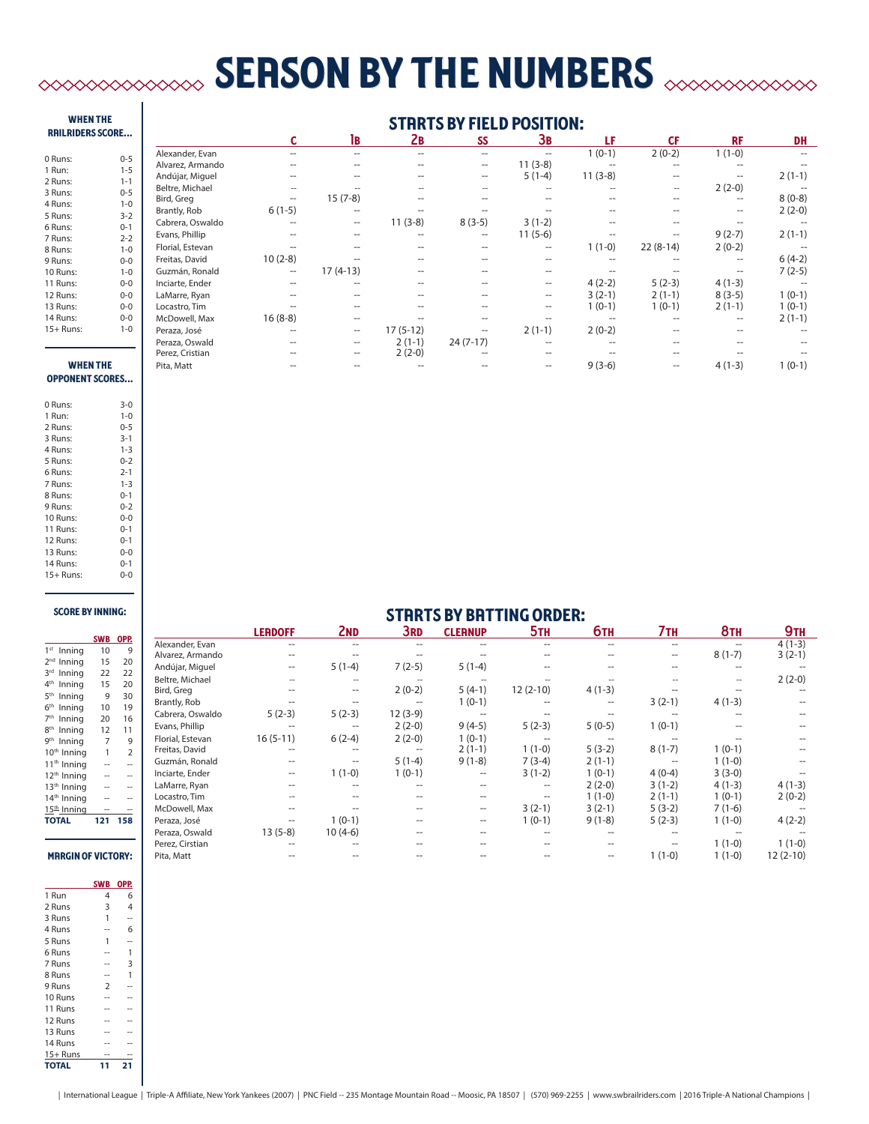# **SERSON BY THE NUMBERS**  $\infty$

#### when the railriders score...

| 0 Runs:   | $0 - 5$      |
|-----------|--------------|
| 1 Run:    | $1 - 5$      |
| 2 Runs:   | $1 - 1$      |
| 3 Runs:   | $0 - 5$      |
| 4 Runs:   | $1 - 0$      |
| 5 Runs:   | $3-2$        |
| 6 Runs:   | $0 - 1$      |
| 7 Runs:   | $2 - 2$      |
| 8 Runs:   | $1 - 0$      |
| 9 Runs:   | $0 - 0$      |
| 10 Runs:  | $1 - 0$      |
| 11 Runs:  | $0 - 0$      |
| 12 Runs:  | $0 - 0$      |
| 13 Runs:  | $0 - 0$      |
| 14 Runs:  | 0-0          |
| 15+ Runs: | $1 - \Omega$ |

### starts by field position:

|                  |                   | lв                | 2в         | SS         | Зв        | LF        | <b>CF</b>  | <b>RF</b>                | <b>DH</b> |
|------------------|-------------------|-------------------|------------|------------|-----------|-----------|------------|--------------------------|-----------|
| Alexander, Evan  |                   |                   |            |            |           | $1(0-1)$  | $2(0-2)$   | $1(1-0)$                 |           |
| Alvarez, Armando |                   |                   |            | --         | $11(3-8)$ |           |            |                          |           |
| Andújar, Miguel  |                   |                   |            | --         | $5(1-4)$  | $11(3-8)$ |            |                          | $2(1-1)$  |
| Beltre, Michael  |                   |                   |            |            |           |           |            | $2(2-0)$                 |           |
| Bird, Greg       | --                | $15(7-8)$         |            |            |           |           |            | $\overline{\phantom{a}}$ | $8(0-8)$  |
| Brantly, Rob     | $6(1-5)$          |                   |            |            |           |           |            |                          | $2(2-0)$  |
| Cabrera, Oswaldo |                   | $\hspace{0.05cm}$ | $11(3-8)$  | $8(3-5)$   | $3(1-2)$  |           |            |                          |           |
| Evans, Phillip   |                   |                   |            |            | $11(5-6)$ |           |            | $9(2-7)$                 | $2(1-1)$  |
| Florial, Estevan |                   |                   |            |            |           | $1(1-0)$  | $22(8-14)$ | $2(0-2)$                 |           |
| Freitas, David   | $10(2-8)$         |                   |            |            |           |           |            | $\hspace{0.05cm}$        | $6(4-2)$  |
| Guzmán, Ronald   | $\hspace{0.05cm}$ | $17(4-13)$        |            |            |           |           |            |                          | $7(2-5)$  |
| Inciarte, Ender  |                   |                   |            |            |           | $4(2-2)$  | $5(2-3)$   | $4(1-3)$                 |           |
| LaMarre, Ryan    |                   |                   |            |            | --        | $3(2-1)$  | $2(1-1)$   | $8(3-5)$                 | $1(0-1)$  |
| Locastro, Tim    |                   |                   |            |            | --        | $1(0-1)$  | $1(0-1)$   | $2(1-1)$                 | $1(0-1)$  |
| McDowell, Max    | $16(8-8)$         | --                |            |            |           |           |            |                          | $2(1-1)$  |
| Peraza, José     |                   | --                | $17(5-12)$ | --         | $2(1-1)$  | $2(0-2)$  |            |                          |           |
| Peraza, Oswald   |                   | --                | $2(1-1)$   | $24(7-17)$ |           |           |            |                          |           |
| Perez, Cristian  |                   |                   | $2(2-0)$   |            |           |           |            |                          |           |
| Pita, Matt       |                   |                   |            |            |           | $9(3-6)$  |            | $4(1-3)$                 | $1(0-1)$  |

#### when the opponent scores...

| 0 Runs:   | $3-0$   |
|-----------|---------|
| 1 Run:    | $1 - 0$ |
| 2 Runs:   | $0 - 5$ |
| 3 Runs:   | $3 - 1$ |
| 4 Runs:   | $1 - 3$ |
| 5 Runs:   | $0 - 2$ |
| 6 Runs:   | $2 - 1$ |
| 7 Runs:   | $1 - 3$ |
| 8 Runs:   | $0 - 1$ |
| 9 Runs:   | $0 - 2$ |
| 10 Runs:  | $0 - 0$ |
| 11 Runs:  | $0 - 1$ |
| 12 Runs:  | $0 - 1$ |
| 13 Runs:  | $0 - 0$ |
| 14 Runs:  | $0 - 1$ |
| 15+ Runs: | $0 - 0$ |

#### score by inning:

|                           | <b>SWB</b>     | OPP.           |
|---------------------------|----------------|----------------|
| 1 <sup>st</sup><br>Inning | 10             | 9              |
| 2 <sub>nd</sub><br>Inning | 15             | 20             |
| 3 <sup>rd</sup><br>Inning | 22             | 22             |
| 4 <sup>th</sup><br>Inning | 15             | 20             |
| 5 <sup>th</sup><br>Inning | 9              | 30             |
| 6 <sup>th</sup><br>Inning | 10             | 19             |
| 7 <sup>th</sup><br>Inning | 20             | 16             |
| <b>gth</b><br>Inning      | 12             | 11             |
| gth<br>Inning             | $\overline{7}$ | 9              |
| 10 <sup>th</sup> Inning   | $\mathbf{1}$   | $\overline{2}$ |
| 11 <sup>th</sup> Inning   |                |                |
| 12 <sup>th</sup> Inning   |                |                |
| 13 <sup>th</sup> Inning   |                |                |
| 14 <sup>th</sup> Inning   |                |                |
| 15 <sup>th</sup> Inning   |                |                |
| <b>TOTAL</b>              | 121            | 158            |
|                           |                |                |
|                           |                |                |

### MARGIN OF VICTOR

| <b>MANJIN VE VILTUNI</b> |  |  |
|--------------------------|--|--|
|                          |  |  |
|                          |  |  |

|              | <b>SWB</b>     | OPP. |
|--------------|----------------|------|
| 1 Run        | 4              | 6    |
| 2 Runs       | 3              | 4    |
| 3 Runs       | 1              |      |
| 4 Runs       |                | 6    |
| 5 Runs       | 1              |      |
| 6 Runs       |                | 1    |
| 7 Runs       |                | 3    |
| 8 Runs       |                | 1    |
| 9 Runs       | $\overline{2}$ |      |
| 10 Runs      |                |      |
| 11 Runs      |                |      |
| 12 Runs      |                |      |
| 13 Runs      |                |      |
| 14 Runs      |                |      |
| $15+$ Runs   |                |      |
| <b>TOTAL</b> |                | 2    |

| <b>STRRTS BY BRTTING ORDER:</b> |  |  |
|---------------------------------|--|--|
|                                 |  |  |
|                                 |  |  |

|                  | <b>LERDOFF</b>    | 2 <sub>ND</sub> | 3 <sub>RD</sub> | <b>CLEANUP</b>                                      | <b>5TH</b> | <b>6тн</b> | 7тн               | <b>8TH</b> | <b>9тн</b> |
|------------------|-------------------|-----------------|-----------------|-----------------------------------------------------|------------|------------|-------------------|------------|------------|
| Alexander, Evan  |                   |                 |                 |                                                     |            |            | --                |            | $4(1-3)$   |
| Alvarez, Armando | --                |                 |                 |                                                     |            |            | $\qquad \qquad -$ | $8(1-7)$   | $3(2-1)$   |
| Andújar, Miguel  | $\qquad \qquad -$ | $5(1-4)$        | $7(2-5)$        | $5(1-4)$                                            |            |            |                   |            |            |
| Beltre, Michael  |                   |                 |                 |                                                     |            |            |                   |            | $2(2-0)$   |
| Bird, Greg       |                   | $- -$           | $2(0-2)$        | $5(4-1)$                                            | $12(2-10)$ | $4(1-3)$   |                   |            |            |
| Brantly, Rob     |                   |                 |                 | $1(0-1)$                                            |            | --         | $3(2-1)$          | $4(1-3)$   |            |
| Cabrera, Oswaldo | $5(2-3)$          | $5(2-3)$        | $12(3-9)$       |                                                     |            |            |                   |            |            |
| Evans, Phillip   |                   |                 | $2(2-0)$        | $9(4-5)$                                            | $5(2-3)$   | $5(0-5)$   | $1(0-1)$          |            |            |
| Florial, Estevan | $16(5-11)$        | $6(2-4)$        | $2(2-0)$        | $1(0-1)$                                            |            |            |                   |            |            |
| Freitas, David   |                   |                 |                 | $2(1-1)$                                            | $1(1-0)$   | $5(3-2)$   | $8(1-7)$          | $1(0-1)$   |            |
| Guzmán, Ronald   |                   | $- -$           | $5(1-4)$        | $9(1-8)$                                            | $7(3-4)$   | $2(1-1)$   | $-$               | $1(1-0)$   |            |
| Inciarte, Ender  | $\qquad \qquad -$ | $1(1-0)$        | $1(0-1)$        | $\hspace{0.05cm} -\hspace{0.05cm} -\hspace{0.05cm}$ | $3(1-2)$   | $1(0-1)$   | $4(0-4)$          | $3(3-0)$   |            |
| LaMarre, Ryan    |                   |                 |                 |                                                     | $- -$      | $2(2-0)$   | $3(1-2)$          | $4(1-3)$   | $4(1-3)$   |
| Locastro, Tim    | $- -$             |                 |                 |                                                     |            | $1(1-0)$   | $2(1-1)$          | $1(0-1)$   | $2(0-2)$   |
| McDowell, Max    |                   |                 |                 | $- -$                                               | $3(2-1)$   | $3(2-1)$   | $5(3-2)$          | $7(1-6)$   |            |
| Peraza, José     | --                | $1(0-1)$        |                 | $\hspace{0.05cm} -\hspace{0.05cm} -\hspace{0.05cm}$ | $1(0-1)$   | $9(1-8)$   | $5(2-3)$          | $1(1-0)$   | $4(2-2)$   |
| Peraza, Oswald   | $13(5-8)$         | $10(4-6)$       |                 |                                                     |            |            |                   |            |            |
| Perez, Cirstian  |                   |                 |                 |                                                     |            |            |                   | $1(1-0)$   | $1(1-0)$   |
| Pita, Matt       |                   |                 |                 |                                                     |            | $- -$      | $1(1-0)$          | $1(1-0)$   | $12(2-10)$ |
|                  |                   |                 |                 |                                                     |            |            |                   |            |            |

#### | International League | Triple-A Affiliate, New York Yankees (2007) | PNC Field -- 235 Montage Mountain Road -- Moosic, PA 18507 | (570) 969-2255 | www.swbrailriders.com | 2016 Triple-A National Champions |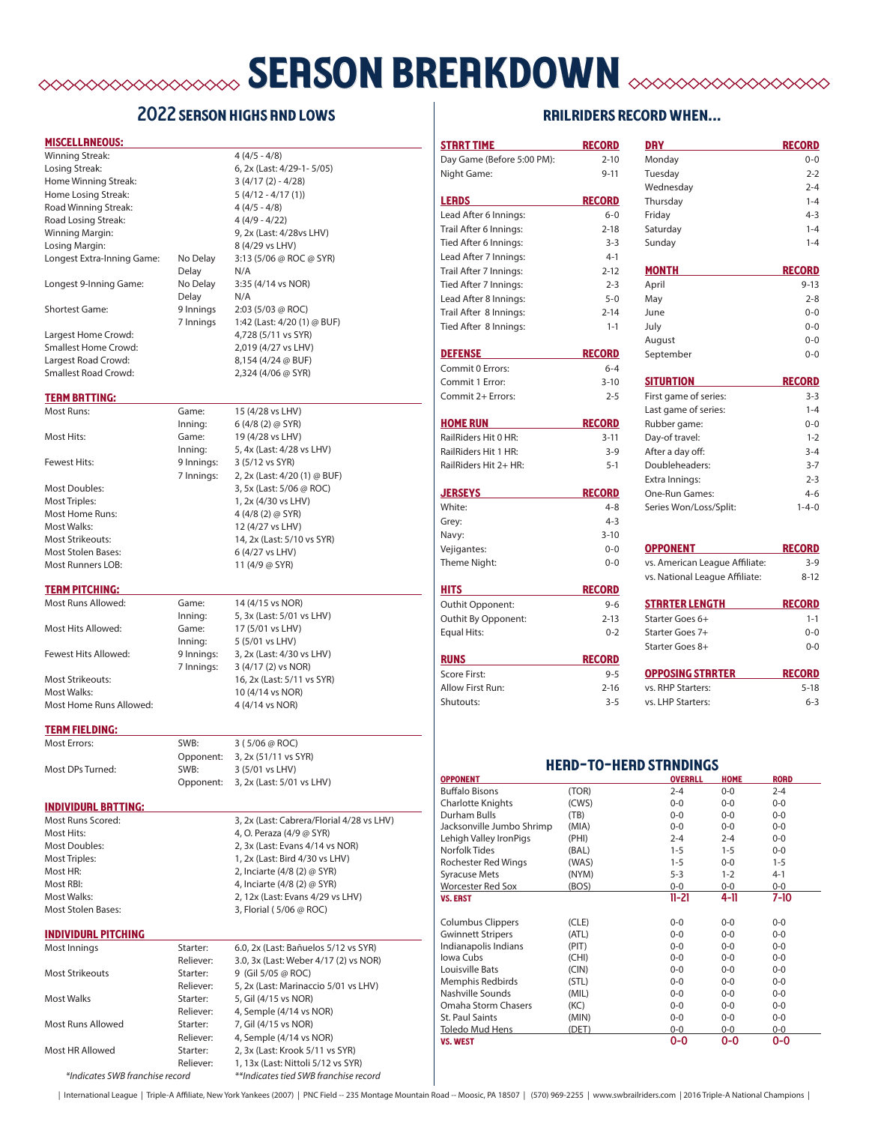# **SERSON BREAKDOWN EXERCEDINGLY**

## 2022 season highs and lows

Inning: 6 (4/8 (2) @ SYR)

Inning: 5, 4x (Last: 4/28 vs LHV)

7 Innings: 2, 2x (Last: 4/20 (1) @ BUF)

#### miscellaneous:

| Losing Streak:             |           | 6, 2x (Last: 4/29-1-5/05)   |
|----------------------------|-----------|-----------------------------|
| Home Winning Streak:       |           | $3(4/17(2) - 4/28)$         |
| Home Losing Streak:        |           | $5(4/12 - 4/17(1))$         |
| Road Winning Streak:       |           | $4(4/5 - 4/8)$              |
| Road Losing Streak:        |           | $4(4/9 - 4/22)$             |
| Winning Margin:            |           | 9, 2x (Last: 4/28vs LHV)    |
| Losing Margin:             |           | 8 (4/29 vs LHV)             |
| Longest Extra-Inning Game: | No Delay  | 3:13 (5/06 @ ROC @ SYR)     |
|                            | Delay     | N/A                         |
| Longest 9-Inning Game:     | No Delay  | 3:35 (4/14 vs NOR)          |
|                            | Delay     | N/A                         |
| <b>Shortest Game:</b>      | 9 Innings | $2:03(5/03 \oslash ROC)$    |
|                            | 7 Innings | 1:42 (Last: 4/20 (1) @ BUF) |
| Largest Home Crowd:        |           | 4,728 (5/11 vs SYR)         |
| Smallest Home Crowd:       |           | 2,019 (4/27 vs LHV)         |
| Largest Road Crowd:        |           | $8.154(4/24 \text{ @ } R$   |

Winning Streak: 4 (4/5 - 4/8)

Most Stolen Bases: 6 (4/27 vs LHV) Most Runners LOB: 11 (4/9 @ SYR)

Smallest Road Crowd: 2,324 (4/06 @ SYR)

#### **TERM BRTTING:**

Most Runs: Game: 15 (4/28 vs LHV) Most Hits: Game: 19 (4/28 vs LHV) Fewest Hits: 9 Innings: 3 (5/12 vs SYR) Most Doubles: 3, 5x (Last: 5/06 @ ROC) Most Triples: 1, 2x (4/30 vs LHV) Most Home Runs: 4 (4/8 (2) @ SYR) Most Walks: 12 (4/27 vs LHV) Most Strikeouts: 14, 2x (Last: 5/10 vs SYR)

#### **TERM PITCHING:**

Most Hits Allowed: Game: 17 (5/01 vs LHV) Most Walks: 10 (4/14 vs NOR)

Most Runs Allowed: Game: 14 (4/15 vs NOR) Inning: 5, 3x (Last: 5/01 vs LHV) Inning: 5 (5/01 vs LHV) Fewest Hits Allowed: 9 Innings: 3, 2x (Last: 4/30 vs LHV) 7 Innings: 3 (4/17 (2) vs NOR) Most Strikeouts: 16, 2x (Last: 5/11 vs SYR) Most Home Runs Allowed: 4 (4/14 vs NOR)

#### **TERM FIELDING:**

Most Errors: SWB: 3 ( 5/06 @ ROC) Opponent: 3, 2x (51/11 vs SYR) Most DPs Turned: SWB: 3 (5/01 vs LHV) Opponent: 3, 2x (Last: 5/01 vs LHV)

#### individual batting:

Most Runs Scored: 3, 2x (Last: Cabrera/Florial 4/28 vs LHV) Most Hits: 4, O. Peraza (4/9 @ SYR) Most Doubles: 2, 3x (Last: Evans 4/14 vs NOR) Most Triples: 1, 2x (Last: Bird 4/30 vs LHV) Most HR: 2, Inciarte (4/8 (2) @ SYR) Most RBI: 4, Inciarte (4/8 (2) @ SYR) Most Walks: 2, 12x (Last: Evans 4/29 vs LHV) Most Stolen Bases: 3, Florial ( 5/06 @ ROC)

#### individual pitching

| Most Innings                    | Starter:  | 6.0, 2x (Last: Bañuelos 5/12 vs SYR)  |
|---------------------------------|-----------|---------------------------------------|
|                                 | Reliever: | 3.0, 3x (Last: Weber 4/17 (2) vs NOR) |
| Most Strikeouts                 | Starter:  | 9 (Gil 5/05 @ ROC)                    |
|                                 | Reliever: | 5, 2x (Last: Marinaccio 5/01 vs LHV)  |
| Most Walks                      | Starter:  | 5, Gil (4/15 vs NOR)                  |
|                                 | Reliever: | 4, Semple (4/14 vs NOR)               |
| Most Runs Allowed               | Starter:  | 7, Gil (4/15 vs NOR)                  |
|                                 | Reliever: | 4, Semple (4/14 vs NOR)               |
| Most HR Allowed                 | Starter:  | 2, 3x (Last: Krook 5/11 vs SYR)       |
|                                 | Reliever: | 1, 13x (Last: Nittoli 5/12 vs SYR)    |
| *Indicates SWB franchise record |           | **Indicates tied SWB franchise record |

## railriders record when... start time record day the record day in the record

| Day Game (Before 5:00 PM):                  | $2 - 10$       | Monday                         |                  |                    | $0 - 0$     |
|---------------------------------------------|----------------|--------------------------------|------------------|--------------------|-------------|
| Night Game:                                 | $9 - 11$       | Tuesday                        |                  |                    | $2 - 2$     |
|                                             |                | Wednesday                      |                  |                    | $2 - 4$     |
| <b>LERDS</b>                                | <b>RECORD</b>  | Thursday                       |                  |                    | $1 - 4$     |
| Lead After 6 Innings:                       | $6-0$          | Friday                         |                  |                    | $4 - 3$     |
| Trail After 6 Innings:                      | $2 - 18$       | Saturday                       |                  |                    | $1 - 4$     |
| Tied After 6 Innings:                       | $3 - 3$        | Sunday                         |                  |                    | $1 - 4$     |
| Lead After 7 Innings:                       | $4-1$          |                                |                  |                    |             |
| Trail After 7 Innings:                      | $2 - 12$       | <b>MONTH</b>                   |                  | <b>RECORD</b>      |             |
| Tied After 7 Innings:                       | $2 - 3$        | April                          |                  |                    | $9 - 13$    |
| Lead After 8 Innings:                       | $5 - 0$        | May                            |                  |                    | $2 - 8$     |
| Trail After 8 Innings:                      | $2 - 14$       | June                           |                  |                    | $0 - 0$     |
| Tied After 8 Innings:                       | $1 - 1$        | July                           |                  |                    | $0 - 0$     |
|                                             |                | August                         |                  |                    | $0 - 0$     |
| <b>DEFENSE</b>                              | <b>RECORD</b>  | September                      |                  |                    | $0 - 0$     |
| Commit 0 Errors:                            | $6 - 4$        |                                |                  |                    |             |
|                                             |                |                                |                  |                    |             |
| Commit 1 Error:                             | $3 - 10$       | <b>SITURTION</b>               |                  | <b>RECORD</b>      |             |
| Commit 2+ Errors:                           | $2 - 5$        | First game of series:          |                  |                    | $3 - 3$     |
|                                             |                | Last game of series:           |                  |                    | $1 - 4$     |
| <b>HOME RUN</b>                             | <b>RECORD</b>  | Rubber game:                   |                  |                    | $0 - 0$     |
| RailRiders Hit 0 HR:                        | $3 - 11$       | Day-of travel:                 |                  |                    | $1 - 2$     |
| RailRiders Hit 1 HR:                        | $3-9$          | After a day off:               |                  |                    | $3 - 4$     |
| RailRiders Hit 2+ HR:                       | $5 - 1$        | Doubleheaders:                 |                  |                    | $3 - 7$     |
|                                             |                | Extra Innings:                 |                  |                    | $2 - 3$     |
| <b>JERSEYS</b>                              | <b>RECORD</b>  | One-Run Games:                 |                  |                    | $4 - 6$     |
| White:                                      | $4 - 8$        | Series Won/Loss/Split:         |                  |                    | $1 - 4 - 0$ |
| Grey:                                       | $4 - 3$        |                                |                  |                    |             |
| Navy:                                       | $3 - 10$       |                                |                  |                    |             |
| Vejigantes:                                 | $0 - 0$        | <b>OPPONENT</b>                |                  | <b>RECORD</b>      |             |
| Theme Night:                                | $0 - 0$        | vs. American League Affiliate: |                  |                    | $3 - 9$     |
|                                             |                | vs. National League Affiliate: |                  |                    | $8 - 12$    |
| <b>HITS</b>                                 | <b>RECORD</b>  |                                |                  |                    |             |
| Outhit Opponent:                            | $9 - 6$        | <u>STRRTER LENGTH</u>          |                  | <b>RECORD</b>      |             |
| Outhit By Opponent:                         | $2 - 13$       | Starter Goes 6+                |                  |                    | $1 - 1$     |
| <b>Equal Hits:</b>                          | $0 - 2$        | Starter Goes 7+                |                  |                    | $0 - 0$     |
|                                             |                | Starter Goes 8+                |                  |                    | $0 - 0$     |
| <b>RUNS</b>                                 | <b>RECORD</b>  |                                |                  |                    |             |
| Score First:                                | $9 - 5$        | <b>OPPOSING STRRTER</b>        |                  | <b>RECORD</b>      |             |
| Allow First Run:                            | $2 - 16$       | vs. RHP Starters:              |                  |                    | $5 - 18$    |
| Shutouts:                                   | $3 - 5$        | vs. LHP Starters:              |                  |                    | $6 - 3$     |
|                                             |                | <b>HERD-TO-HERD STRNDINGS</b>  |                  |                    |             |
| <b>OPPONENT</b>                             |                | <b>OVERALL</b>                 | <b>HOME</b>      | <b>RORD</b>        |             |
| Buffalo Bisons                              | (TOR)          | 2-4                            | $0-0$            | $2 - 4$            |             |
| Charlotte Knights                           | (CWS)          | $0-0$                          | $0-0$            | $0-0$              |             |
| Durham Bulls                                | (TB)           | $0-0$                          | $0-0$            | $0-0$              |             |
| Jacksonville Jumbo Shrimp                   | (MIA)          | $0-0$                          | $0-0$            | $0-0$              |             |
| Lehigh Valley IronPigs                      | (PHI)          | $2 - 4$                        | $2 - 4$          | $0-0$              |             |
| <b>Norfolk Tides</b>                        | (BAL)          | $1 - 5$                        | $1 - 5$          | $0-0$              |             |
| Rochester Red Wings<br><b>Syracuse Mets</b> | (WAS)<br>(NYM) | $1 - 5$<br>$5 - 3$             | $0-0$<br>$1 - 2$ | $1 - 5$<br>$4 - 1$ |             |
| Worcester Red Sox                           | (BOS)          | $0-0$                          | $0-0$            | $0-0$              |             |
| <b>VS. ERST</b>                             |                | $11 - 21$                      | 4-11             | 7-10               |             |
|                                             |                |                                |                  |                    |             |
| <b>Columbus Clippers</b>                    | (CLE)          | $0-0$                          | $0-0$            | $0-0$              |             |
| <b>Gwinnett Stripers</b>                    | (ATL)          | $0-0$                          | $0-0$            | $0-0$              |             |
| Indianapolis Indians                        | (PIT)          | $0-0$                          | $0-0$            | $0-0$              |             |
| Iowa Cubs                                   | (CHI)          | $0-0$                          | $0-0$            | $0-0$              |             |
| Louisville Bats<br>Memphis Redbirds         | (CIN)<br>(STL) | $0-0$<br>$0-0$                 | $0-0$<br>$0-0$   | $0-0$<br>$0-0$     |             |
| Nashville Sounds                            | (MIL)          | $0-0$                          | $0-0$            | $0-0$              |             |
| Omaha Storm Chasers                         | (KC)           | $0-0$                          | $0-0$            | $0-0$              |             |
| St. Paul Saints                             | (MIN)          | $0-0$                          | $0-0$            | $0-0$              |             |
| Toledo Mud Hens                             | (DET)          | $0 - 0$                        | $0 - 0$          | $0 - 0$            |             |
| <b>VS. WEST</b>                             |                | 0-0                            | 0-0              | 0-0                |             |

| International League | Triple-A Affiliate, New York Yankees (2007) | PNC Field -- 235 Montage Mountain Road -- Moosic, PA 18507 | (570) 969-2255 | www.swbrailriders.com | 2016 Triple-A National Champions |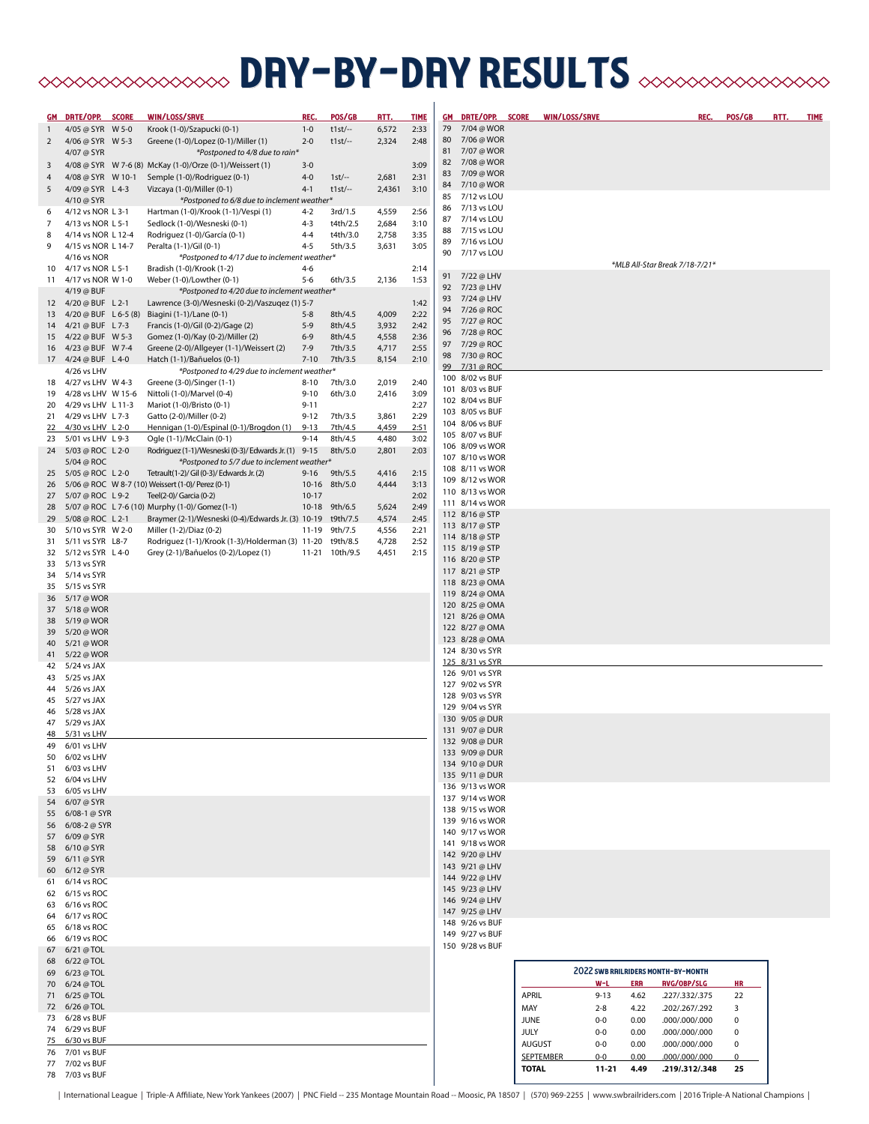# **BRY-DRY RESULTS** SOF SOF SOF STATES

| <u>GM</u>      | DRTE/OPP. SCORE                             | WIN/LOSS/SRVE                                                              | <b>REC</b> | POS/GB              | <u>RTT.</u>    | <b>TIME</b>  |          | GM DRTE/OPP. SCORE                 |               | WIN/LOSS/SRVE    |          |            | REC.                                      | POS/GB    | RTT. | <b>TIME</b> |
|----------------|---------------------------------------------|----------------------------------------------------------------------------|------------|---------------------|----------------|--------------|----------|------------------------------------|---------------|------------------|----------|------------|-------------------------------------------|-----------|------|-------------|
| $\mathbf{1}$   | 4/05 @ SYR W 5-0                            | Krook (1-0)/Szapucki (0-1)                                                 | $1 - 0$    | $t1st$ --           | 6,572          | 2:33         |          | 79 7/04 @ WOR                      |               |                  |          |            |                                           |           |      |             |
| $\overline{2}$ | 4/06 @ SYR W 5-3                            | Greene (1-0)/Lopez (0-1)/Miller (1)                                        | $2 - 0$    | $t1st$ --           | 2,324          | 2:48         | 80       | 7/06 @ WOR                         |               |                  |          |            |                                           |           |      |             |
|                | 4/07 @ SYR                                  | *Postponed to 4/8 due to rain*                                             |            |                     |                |              |          | 81 7/07 @ WOR                      |               |                  |          |            |                                           |           |      |             |
| 3              |                                             | 4/08 @ SYR W 7-6 (8) McKay (1-0)/Orze (0-1)/Weissert (1)                   | $3 - 0$    |                     |                | 3:09         | 82       | 7/08 @ WOR                         |               |                  |          |            |                                           |           |      |             |
| 4              | 4/08 @ SYR W 10-1                           | Semple (1-0)/Rodriguez (0-1)                                               | $4 - 0$    | $1st$ -             | 2,681          | 2:31         | 83       | 7/09 @ WOR                         |               |                  |          |            |                                           |           |      |             |
| 5              | 4/09 @ SYR L 4-3                            | Vizcaya (1-0)/Miller (0-1)                                                 | $4 - 1$    | $t1st/-$            | 2,4361         | 3:10         |          | 84 7/10 @ WOR                      |               |                  |          |            |                                           |           |      |             |
|                | 4/10 @ SYR                                  | *Postponed to 6/8 due to inclement weather*                                |            |                     |                |              | 85       | 7/12 vs LOU                        |               |                  |          |            |                                           |           |      |             |
| 6              | 4/12 vs NOR L 3-1                           | Hartman (1-0)/Krook (1-1)/Vespi (1)                                        | $4 - 2$    | 3rd/1.5             | 4,559          | 2:56         | 86       | 7/13 vs LOU                        |               |                  |          |            |                                           |           |      |             |
| 7              | 4/13 vs NOR L 5-1                           | Sedlock (1-0)/Wesneski (0-1)                                               | $4 - 3$    | t4th/2.5            | 2,684          | 3:10         | 87       | 7/14 vs LOU                        |               |                  |          |            |                                           |           |      |             |
| 8              | 4/14 vs NOR L 12-4                          | Rodriguez (1-0)/García (0-1)                                               | $4 - 4$    | t4th/3.0            | 2,758          | 3:35         | 88<br>89 | 7/15 vs LOU<br>7/16 vs LOU         |               |                  |          |            |                                           |           |      |             |
| 9              | 4/15 vs NOR L 14-7                          | Peralta (1-1)/Gil (0-1)                                                    | $4 - 5$    | 5th/3.5             | 3,631          | 3:05         | 90       | 7/17 vs LOU                        |               |                  |          |            |                                           |           |      |             |
|                | 4/16 vs NOR                                 | *Postponed to 4/17 due to inclement weather*                               |            |                     |                |              |          |                                    |               |                  |          |            | *MLB All-Star Break 7/18-7/21*            |           |      |             |
| 10             | 4/17 vs NOR L 5-1                           | Bradish (1-0)/Krook (1-2)                                                  | $4 - 6$    |                     |                | 2:14         |          | 91 7/22 @ LHV                      |               |                  |          |            |                                           |           |      |             |
| 11             | 4/17 vs NOR W 1-0                           | Weber (1-0)/Lowther (0-1)                                                  | $5 - 6$    | 6th/3.5             | 2,136          | 1:53         |          | 92 7/23 @ LHV                      |               |                  |          |            |                                           |           |      |             |
|                | 4/19 @ BUF                                  | *Postponed to 4/20 due to inclement weather*                               |            |                     |                |              |          | 93 7/24 @ LHV                      |               |                  |          |            |                                           |           |      |             |
| 13             | 12 4/20 @ BUF L 2-1<br>4/20 @ BUF L 6-5 (8) | Lawrence (3-0)/Wesneski (0-2)/Vaszugez (1) 5-7<br>Biagini (1-1)/Lane (0-1) | $5 - 8$    | 8th/4.5             | 4,009          | 1:42<br>2:22 | 94       | 7/26 @ ROC                         |               |                  |          |            |                                           |           |      |             |
|                | 14 4/21 @ BUF L 7-3                         | Francis (1-0)/Gil (0-2)/Gage (2)                                           | $5-9$      | 8th/4.5             | 3,932          | 2:42         |          | 95 7/27 @ ROC                      |               |                  |          |            |                                           |           |      |             |
| 15             | 4/22 @ BUF W 5-3                            | Gomez (1-0)/Kay (0-2)/Miller (2)                                           | $6 - 9$    | 8th/4.5             | 4,558          | 2:36         |          | 96 7/28 @ ROC                      |               |                  |          |            |                                           |           |      |             |
| 16             | 4/23 @ BUF W 7-4                            | Greene (2-0)/Allgeyer (1-1)/Weissert (2)                                   | $7-9$      | 7th/3.5             | 4,717          | 2:55         |          | 97 7/29 @ ROC                      |               |                  |          |            |                                           |           |      |             |
|                | 17 4/24 @ BUF L 4-0                         | Hatch (1-1)/Bañuelos (0-1)                                                 | $7 - 10$   | 7th/3.5             | 8,154          | 2:10         |          | 98 7/30 @ ROC                      |               |                  |          |            |                                           |           |      |             |
|                | 4/26 vs LHV                                 | *Postponed to 4/29 due to inclement weather*                               |            |                     |                |              |          | 99 7/31 @ ROC                      |               |                  |          |            |                                           |           |      |             |
| 18             | 4/27 vs LHV W 4-3                           | Greene (3-0)/Singer (1-1)                                                  | $8 - 10$   | 7th/3.0             | 2,019          | 2:40         |          | 100 8/02 vs BUF                    |               |                  |          |            |                                           |           |      |             |
| 19             | 4/28 vs LHV W 15-6                          | Nittoli (1-0)/Marvel (0-4)                                                 | $9 - 10$   | 6th/3.0             | 2,416          | 3:09         |          | 101 8/03 vs BUF                    |               |                  |          |            |                                           |           |      |             |
| 20             | 4/29 vs LHV L 11-3                          | Mariot (1-0)/Bristo (0-1)                                                  | $9 - 11$   |                     |                | 2:27         |          | 102 8/04 vs BUF                    |               |                  |          |            |                                           |           |      |             |
| 21             | 4/29 vs LHV L 7-3                           | Gatto (2-0)/Miller (0-2)                                                   | $9 - 12$   | 7th/3.5             | 3,861          | 2:29         |          | 103 8/05 vs BUF                    |               |                  |          |            |                                           |           |      |             |
| <u>22</u>      | 4/30 vs LHV L 2-0                           | Hennigan (1-0)/Espinal (0-1)/Brogdon (1)                                   | $9 - 13$   | 7th/4.5             | 4,459          | 2:51         |          | 104 8/06 vs BUF                    |               |                  |          |            |                                           |           |      |             |
| 23             | 5/01 vs LHV L 9-3                           | Ogle (1-1)/McClain (0-1)                                                   | $9 - 14$   | 8th/4.5             | 4,480          | 3:02         |          | 105 8/07 vs BUF                    |               |                  |          |            |                                           |           |      |             |
|                | 24 5/03 @ ROC L 2-0                         | Rodriguez (1-1)/Wesneski (0-3)/ Edwards Jr. (1) 9-15                       |            | 8th/5.0             | 2,801          | 2:03         |          | 106 8/09 vs WOR<br>107 8/10 vs WOR |               |                  |          |            |                                           |           |      |             |
|                | 5/04 @ ROC                                  | *Postponed to 5/7 due to inclement weather*                                |            |                     |                |              |          | 108 8/11 vs WOR                    |               |                  |          |            |                                           |           |      |             |
| 25             | 5/05 @ ROC L 2-0                            | Tetrault(1-2)/ Gil (0-3)/ Edwards Jr. (2)                                  | $9 - 16$   | 9th/5.5             | 4,416          | 2:15         |          | 109 8/12 vs WOR                    |               |                  |          |            |                                           |           |      |             |
| 26             |                                             | 5/06 @ ROC W 8-7 (10) Weissert (1-0)/ Perez (0-1)                          |            | 10-16 8th/5.0       | 4,444          | 3:13         |          | 110 8/13 vs WOR                    |               |                  |          |            |                                           |           |      |             |
|                | 27 5/07 @ ROC L 9-2                         | Teel(2-0)/ Garcia (0-2)                                                    | $10 - 17$  |                     |                | 2:02         |          | 111 8/14 vs WOR                    |               |                  |          |            |                                           |           |      |             |
| 28             |                                             | 5/07 @ ROC L 7-6 (10) Murphy (1-0)/ Gomez (1-1)                            |            | 10-18 9th/6.5       | 5,624          | 2:49         |          | 112 8/16 @ STP                     |               |                  |          |            |                                           |           |      |             |
| 29             | 5/08 @ ROC L 2-1<br>30 5/10 vs SYR W 2-0    | Braymer (2-1)/Wesneski (0-4)/Edwards Jr. (3) 10-19                         | $11 - 19$  | t9th/7.5<br>9th/7.5 | 4,574<br>4,556 | 2:45<br>2:21 |          | 113 8/17 @ STP                     |               |                  |          |            |                                           |           |      |             |
| 31             | 5/11 vs SYR L8-7                            | Miller (1-2)/Diaz (0-2)<br>Rodriguez (1-1)/Krook (1-3)/Holderman (3) 11-20 |            | t9th/8.5            | 4,728          | 2:52         |          | 114 8/18 @ STP                     |               |                  |          |            |                                           |           |      |             |
| 32             | 5/12 vs SYR L 4-0                           | Grey (2-1)/Bañuelos (0-2)/Lopez (1)                                        | $11 - 21$  | 10th/9.5            | 4,451          | 2:15         |          | 115 8/19 @ STP                     |               |                  |          |            |                                           |           |      |             |
| 33             | 5/13 vs SYR                                 |                                                                            |            |                     |                |              |          | 116 8/20 @ STP                     |               |                  |          |            |                                           |           |      |             |
| 34             | 5/14 vs SYR                                 |                                                                            |            |                     |                |              |          | 117 8/21 @ STP                     |               |                  |          |            |                                           |           |      |             |
| 35             | 5/15 vs SYR                                 |                                                                            |            |                     |                |              |          | 118 8/23 @ OMA                     |               |                  |          |            |                                           |           |      |             |
|                | 36 5/17 @ WOR                               |                                                                            |            |                     |                |              |          | 119 8/24 @ OMA                     |               |                  |          |            |                                           |           |      |             |
| 37             | 5/18 @ WOR                                  |                                                                            |            |                     |                |              |          | 120 8/25 @ OMA                     |               |                  |          |            |                                           |           |      |             |
| 38             | 5/19 @ WOR                                  |                                                                            |            |                     |                |              |          | 121 8/26 @ OMA                     |               |                  |          |            |                                           |           |      |             |
|                | 39 5/20 @ WOR                               |                                                                            |            |                     |                |              |          | 122 8/27 @ OMA                     |               |                  |          |            |                                           |           |      |             |
| 40             | 5/21 @ WOR                                  |                                                                            |            |                     |                |              |          | 123 8/28 @ OMA                     |               |                  |          |            |                                           |           |      |             |
|                | 41 5/22 @ WOR                               |                                                                            |            |                     |                |              |          | 124 8/30 vs SYR                    |               |                  |          |            |                                           |           |      |             |
|                | 42 5/24 vs JAX                              |                                                                            |            |                     |                |              |          | 125 8/31 vs SYR<br>126 9/01 vs SYR |               |                  |          |            |                                           |           |      |             |
| 43             | 5/25 vs JAX                                 |                                                                            |            |                     |                |              |          | 127 9/02 vs SYR                    |               |                  |          |            |                                           |           |      |             |
| 44             | 5/26 vs JAX                                 |                                                                            |            |                     |                |              |          | 128 9/03 vs SYR                    |               |                  |          |            |                                           |           |      |             |
| 45             | 5/27 vs JAX                                 |                                                                            |            |                     |                |              |          | 129 9/04 vs SYR                    |               |                  |          |            |                                           |           |      |             |
| 46             | 5/28 vs JAX                                 |                                                                            |            |                     |                |              |          | 130 9/05 @ DUR                     |               |                  |          |            |                                           |           |      |             |
|                | 47 5/29 vs JAX                              |                                                                            |            |                     |                |              |          | 131 9/07 @ DUR                     |               |                  |          |            |                                           |           |      |             |
|                | 48 5/31 vs LHV<br>49 6/01 vs LHV            |                                                                            |            |                     |                |              |          | 132 9/08 @ DUR                     |               |                  |          |            |                                           |           |      |             |
| 50             | 6/02 vs LHV                                 |                                                                            |            |                     |                |              |          | 133 9/09 @ DUR                     |               |                  |          |            |                                           |           |      |             |
| 51             | 6/03 vs LHV                                 |                                                                            |            |                     |                |              |          | 134 9/10 @ DUR                     |               |                  |          |            |                                           |           |      |             |
| 52             | 6/04 vs LHV                                 |                                                                            |            |                     |                |              |          | 135 9/11 @ DUR                     |               |                  |          |            |                                           |           |      |             |
| 53             | 6/05 vs LHV                                 |                                                                            |            |                     |                |              |          | 136 9/13 vs WOR                    |               |                  |          |            |                                           |           |      |             |
|                | 54 6/07 @ SYR                               |                                                                            |            |                     |                |              |          | 137 9/14 vs WOR                    |               |                  |          |            |                                           |           |      |             |
|                | 55 6/08-1 @ SYR                             |                                                                            |            |                     |                |              |          | 138 9/15 vs WOR                    |               |                  |          |            |                                           |           |      |             |
|                | 56 6/08-2 @ SYR                             |                                                                            |            |                     |                |              |          | 139 9/16 vs WOR                    |               |                  |          |            |                                           |           |      |             |
|                | 57 6/09 @ SYR                               |                                                                            |            |                     |                |              |          | 140 9/17 vs WOR                    |               |                  |          |            |                                           |           |      |             |
| 58             | 6/10 @ SYR                                  |                                                                            |            |                     |                |              |          | 141 9/18 vs WOR                    |               |                  |          |            |                                           |           |      |             |
|                | 59 6/11 @ SYR                               |                                                                            |            |                     |                |              |          | 142 9/20 @ LHV<br>143 9/21 @ LHV   |               |                  |          |            |                                           |           |      |             |
|                | 60 6/12 @ SYR                               |                                                                            |            |                     |                |              |          | 144 9/22 @ LHV                     |               |                  |          |            |                                           |           |      |             |
| 61             | 6/14 vs ROC                                 |                                                                            |            |                     |                |              |          | 145 9/23 @ LHV                     |               |                  |          |            |                                           |           |      |             |
| 62             | 6/15 vs ROC                                 |                                                                            |            |                     |                |              |          | 146 9/24 @ LHV                     |               |                  |          |            |                                           |           |      |             |
|                | 63 6/16 vs ROC                              |                                                                            |            |                     |                |              |          | 147 9/25 @ LHV                     |               |                  |          |            |                                           |           |      |             |
|                | 64 6/17 vs ROC<br>6/18 vs ROC               |                                                                            |            |                     |                |              |          | 148 9/26 vs BUF                    |               |                  |          |            |                                           |           |      |             |
| 65             | 66 6/19 vs ROC                              |                                                                            |            |                     |                |              |          | 149 9/27 vs BUF                    |               |                  |          |            |                                           |           |      |             |
| 67             | 6/21 @ TOL                                  |                                                                            |            |                     |                |              |          | 150 9/28 vs BUF                    |               |                  |          |            |                                           |           |      |             |
|                | 68 6/22 @ TOL                               |                                                                            |            |                     |                |              |          |                                    |               |                  |          |            |                                           |           |      |             |
|                | 69 6/23 @ TOL                               |                                                                            |            |                     |                |              |          |                                    |               |                  |          |            | <b>2022 SWB RAILRIDERS MONTH-BY-MONTH</b> |           |      |             |
|                | 70 6/24 @ TOL                               |                                                                            |            |                     |                |              |          |                                    |               |                  | $W-L$    | <b>ERR</b> | <b>RVG/OBP/SLG</b>                        | HR.       |      |             |
|                | 71 6/25 @ TOL                               |                                                                            |            |                     |                |              |          |                                    | <b>APRIL</b>  |                  | $9 - 13$ | 4.62       | .227/.332/.375                            | 22        |      |             |
|                | 72 6/26 @ TOL                               |                                                                            |            |                     |                |              |          |                                    | MAY           |                  | $2 - 8$  | 4.22       | .202/.267/.292                            | 3         |      |             |
|                | 73 6/28 vs BUF                              |                                                                            |            |                     |                |              |          |                                    | <b>JUNE</b>   |                  | $0-0$    | 0.00       | .000/.000/.000                            | $\pmb{0}$ |      |             |
|                | 74 6/29 vs BUF                              |                                                                            |            |                     |                |              |          |                                    | <b>JULY</b>   |                  | $0-0$    | 0.00       | .000/.000/.000                            | $\pmb{0}$ |      |             |
|                | 75 6/30 vs BUF                              |                                                                            |            |                     |                |              |          |                                    | <b>AUGUST</b> |                  | $0-0$    | 0.00       | .000/.000/.000                            | $\pmb{0}$ |      |             |
|                | 76 7/01 vs BUF                              |                                                                            |            |                     |                |              |          |                                    |               | <b>SEPTEMBER</b> | $0-0$    | 0.00       | 000/000/000.                              | 0         |      |             |
|                | 77 7/02 vs BUF                              |                                                                            |            |                     |                |              |          |                                    | <b>TOTAL</b>  |                  | 11-21    | 4.49       | .219/.312/.348                            | 25        |      |             |
|                | 78 7/03 vs BUF                              |                                                                            |            |                     |                |              |          |                                    |               |                  |          |            |                                           |           |      |             |

| International League | Triple-A Affiliate, New York Yankees (2007) | PNC Field -- 235 Montage Mountain Road -- Moosic, PA 18507 | (570) 969-2255 | www.swbrailriders.com | 2016 Triple-A National Champions |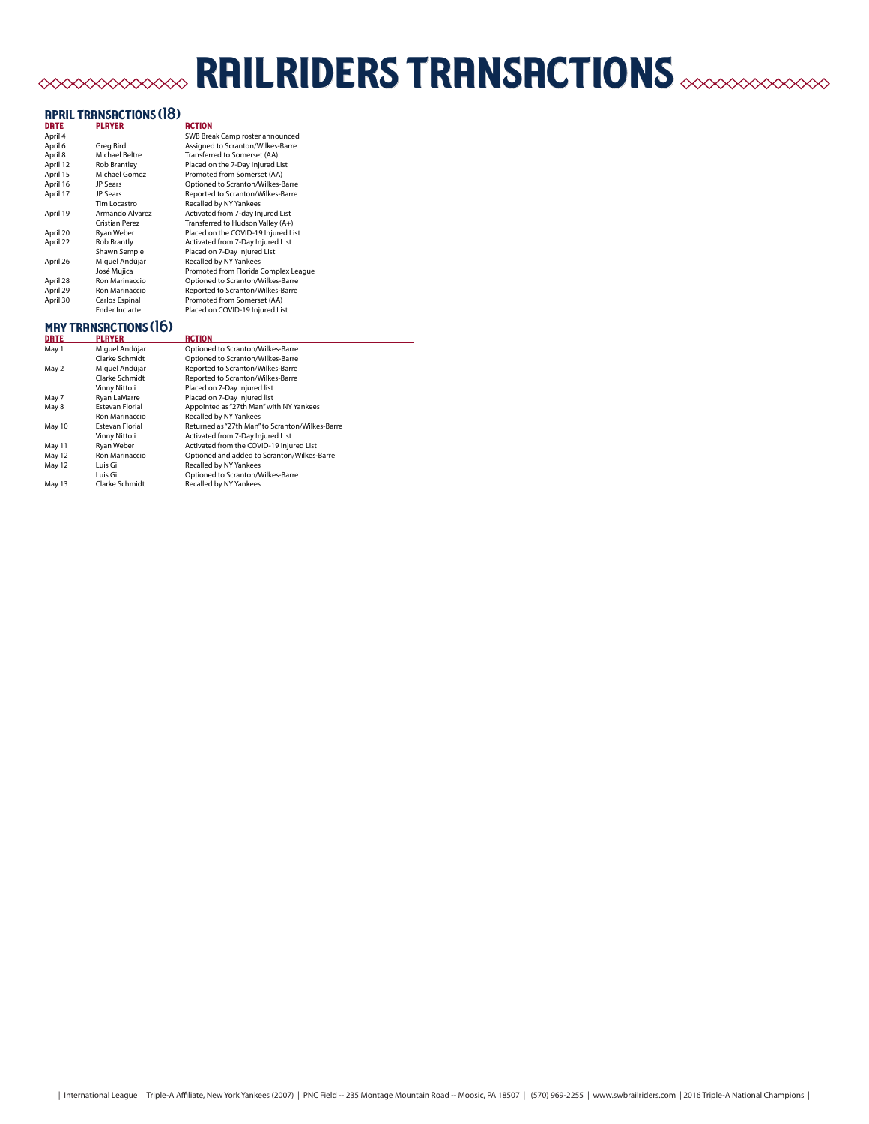# railriders transactions

### **APRIL TRANSACTIONS (18)**

| <b>DRTE</b> | <b>PLAYER</b>         | <b>RCTION</b>                        |
|-------------|-----------------------|--------------------------------------|
| April 4     |                       | SWB Break Camp roster announced      |
| April 6     | Greg Bird             | Assigned to Scranton/Wilkes-Barre    |
| April 8     | Michael Beltre        | Transferred to Somerset (AA)         |
| April 12    | <b>Rob Brantley</b>   | Placed on the 7-Day Injured List     |
| April 15    | Michael Gomez         | Promoted from Somerset (AA)          |
| April 16    | <b>JP Sears</b>       | Optioned to Scranton/Wilkes-Barre    |
| April 17    | <b>JP Sears</b>       | Reported to Scranton/Wilkes-Barre    |
|             | Tim Locastro          | Recalled by NY Yankees               |
| April 19    | Armando Alvarez       | Activated from 7-day Injured List    |
|             | Cristian Perez        | Transferred to Hudson Valley (A+)    |
| April 20    | Ryan Weber            | Placed on the COVID-19 Injured List  |
| April 22    | <b>Rob Brantly</b>    | Activated from 7-Day Injured List    |
|             | Shawn Semple          | Placed on 7-Day Injured List         |
| April 26    | Miquel Andújar        | Recalled by NY Yankees               |
|             | José Mujica           | Promoted from Florida Complex League |
| April 28    | Ron Marinaccio        | Optioned to Scranton/Wilkes-Barre    |
| April 29    | Ron Marinaccio        | Reported to Scranton/Wilkes-Barre    |
| April 30    | Carlos Espinal        | Promoted from Somerset (AA)          |
|             | <b>Ender Inciarte</b> | Placed on COVID-19 Injured List      |
|             |                       |                                      |

### may transactions (16)

| <b>DRTE</b> | <b>PLAYER</b>          | <b>RCTION</b>                                   |
|-------------|------------------------|-------------------------------------------------|
| May 1       | Miguel Andújar         | Optioned to Scranton/Wilkes-Barre               |
|             | Clarke Schmidt         | Optioned to Scranton/Wilkes-Barre               |
| May 2       | Miguel Andújar         | Reported to Scranton/Wilkes-Barre               |
|             | Clarke Schmidt         | Reported to Scranton/Wilkes-Barre               |
|             | Vinny Nittoli          | Placed on 7-Day Injured list                    |
| May 7       | Ryan LaMarre           | Placed on 7-Day Injured list                    |
| May 8       | <b>Estevan Florial</b> | Appointed as "27th Man" with NY Yankees         |
|             | Ron Marinaccio         | Recalled by NY Yankees                          |
| May 10      | <b>Estevan Florial</b> | Returned as "27th Man" to Scranton/Wilkes-Barre |
|             | Vinny Nittoli          | Activated from 7-Day Injured List               |
| May 11      | Ryan Weber             | Activated from the COVID-19 Injured List        |
| May 12      | Ron Marinaccio         | Optioned and added to Scranton/Wilkes-Barre     |
| May 12      | Luis Gil               | Recalled by NY Yankees                          |
|             | Luis Gil               | Optioned to Scranton/Wilkes-Barre               |
| May 13      | Clarke Schmidt         | Recalled by NY Yankees                          |